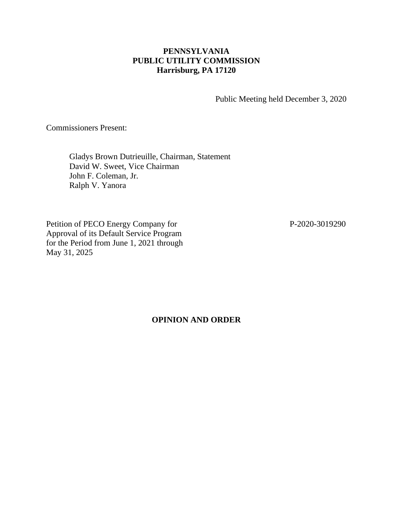## **PENNSYLVANIA PUBLIC UTILITY COMMISSION Harrisburg, PA 17120**

Public Meeting held December 3, 2020

Commissioners Present:

Gladys Brown Dutrieuille, Chairman, Statement David W. Sweet, Vice Chairman John F. Coleman, Jr. Ralph V. Yanora

Petition of PECO Energy Company for P-2020-3019290 Approval of its Default Service Program for the Period from June 1, 2021 through May 31, 2025

**OPINION AND ORDER**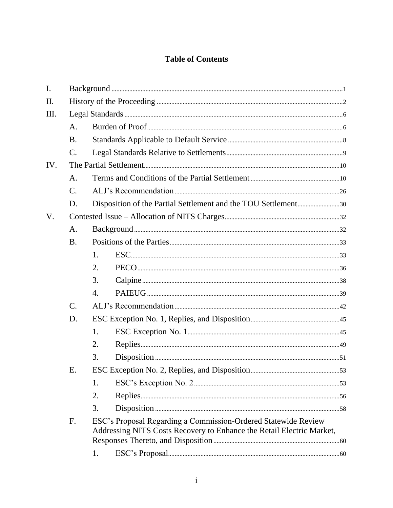# **Table of Contents**

| I.   |                 |                                                                                                                                         |  |  |
|------|-----------------|-----------------------------------------------------------------------------------------------------------------------------------------|--|--|
| Π.   |                 |                                                                                                                                         |  |  |
| III. |                 |                                                                                                                                         |  |  |
|      | A.              |                                                                                                                                         |  |  |
|      | <b>B.</b>       |                                                                                                                                         |  |  |
|      | $\mathcal{C}$ . |                                                                                                                                         |  |  |
| IV.  |                 |                                                                                                                                         |  |  |
|      | A.              |                                                                                                                                         |  |  |
|      | $\mathcal{C}$ . |                                                                                                                                         |  |  |
|      | D.              | Disposition of the Partial Settlement and the TOU Settlement30                                                                          |  |  |
| V.   |                 |                                                                                                                                         |  |  |
|      | A.              |                                                                                                                                         |  |  |
|      | <b>B.</b>       |                                                                                                                                         |  |  |
|      |                 | 1.                                                                                                                                      |  |  |
|      |                 | 2.                                                                                                                                      |  |  |
|      |                 | 3.                                                                                                                                      |  |  |
|      |                 | 4.                                                                                                                                      |  |  |
|      | C.              |                                                                                                                                         |  |  |
|      | D.              |                                                                                                                                         |  |  |
|      |                 | 1.                                                                                                                                      |  |  |
|      |                 | 2.                                                                                                                                      |  |  |
|      |                 | 3.                                                                                                                                      |  |  |
|      | Ε.              |                                                                                                                                         |  |  |
|      |                 | 1.                                                                                                                                      |  |  |
|      |                 | 2.                                                                                                                                      |  |  |
|      |                 | 3.                                                                                                                                      |  |  |
|      | F.              | ESC's Proposal Regarding a Commission-Ordered Statewide Review<br>Addressing NITS Costs Recovery to Enhance the Retail Electric Market, |  |  |
|      |                 | 1.                                                                                                                                      |  |  |
|      |                 |                                                                                                                                         |  |  |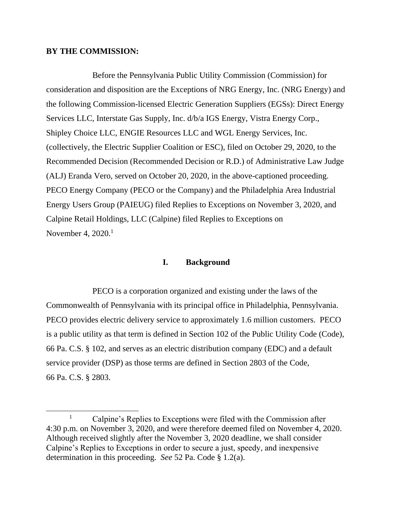### **BY THE COMMISSION:**

Before the Pennsylvania Public Utility Commission (Commission) for consideration and disposition are the Exceptions of NRG Energy, Inc. (NRG Energy) and the following Commission-licensed Electric Generation Suppliers (EGSs): Direct Energy Services LLC, Interstate Gas Supply, Inc. d/b/a IGS Energy, Vistra Energy Corp., Shipley Choice LLC, ENGIE Resources LLC and WGL Energy Services, Inc. (collectively, the Electric Supplier Coalition or ESC), filed on October 29, 2020, to the Recommended Decision (Recommended Decision or R.D.) of Administrative Law Judge (ALJ) Eranda Vero, served on October 20, 2020, in the above-captioned proceeding. PECO Energy Company (PECO or the Company) and the Philadelphia Area Industrial Energy Users Group (PAIEUG) filed Replies to Exceptions on November 3, 2020, and Calpine Retail Holdings, LLC (Calpine) filed Replies to Exceptions on November 4, 2020.<sup>1</sup>

### **I. Background**

<span id="page-3-0"></span>PECO is a corporation organized and existing under the laws of the Commonwealth of Pennsylvania with its principal office in Philadelphia, Pennsylvania. PECO provides electric delivery service to approximately 1.6 million customers. PECO is a public utility as that term is defined in Section 102 of the Public Utility Code (Code), 66 Pa. C.S. § 102, and serves as an electric distribution company (EDC) and a default service provider (DSP) as those terms are defined in Section 2803 of the Code, 66 Pa. C.S. § 2803.

 $1$  Calpine's Replies to Exceptions were filed with the Commission after 4:30 p.m. on November 3, 2020, and were therefore deemed filed on November 4, 2020. Although received slightly after the November 3, 2020 deadline, we shall consider Calpine's Replies to Exceptions in order to secure a just, speedy, and inexpensive determination in this proceeding. *See* 52 Pa. Code § 1.2(a).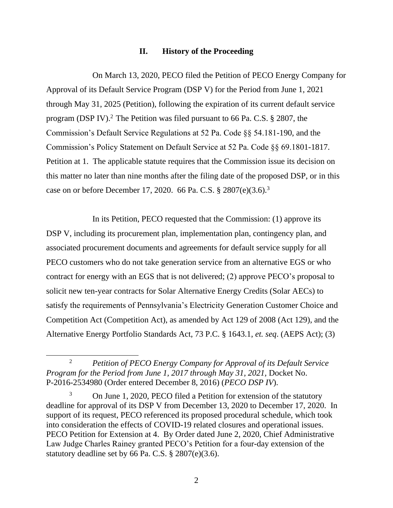## **II. History of the Proceeding**

<span id="page-4-0"></span>On March 13, 2020, PECO filed the Petition of PECO Energy Company for Approval of its Default Service Program (DSP V) for the Period from June 1, 2021 through May 31, 2025 (Petition), following the expiration of its current default service program (DSP IV).<sup>2</sup> The Petition was filed pursuant to 66 Pa. C.S.  $\S$  2807, the Commission's Default Service Regulations at 52 Pa. Code §§ 54.181-190, and the Commission's Policy Statement on Default Service at 52 Pa. Code §§ 69.1801-1817. Petition at 1. The applicable statute requires that the Commission issue its decision on this matter no later than nine months after the filing date of the proposed DSP, or in this case on or before December 17, 2020. 66 Pa. C.S. § 2807(e)(3.6).<sup>3</sup>

In its Petition, PECO requested that the Commission: (1) approve its DSP V, including its procurement plan, implementation plan, contingency plan, and associated procurement documents and agreements for default service supply for all PECO customers who do not take generation service from an alternative EGS or who contract for energy with an EGS that is not delivered; (2) approve PECO's proposal to solicit new ten-year contracts for Solar Alternative Energy Credits (Solar AECs) to satisfy the requirements of Pennsylvania's Electricity Generation Customer Choice and Competition Act (Competition Act), as amended by Act 129 of 2008 (Act 129), and the Alternative Energy Portfolio Standards Act, 73 P.C. § 1643.1, *et. seq*. (AEPS Act); (3)

<sup>2</sup> *Petition of PECO Energy Company for Approval of its Default Service Program for the Period from June 1, 2017 through May 31, 2021, Docket No.* P-2016-2534980 (Order entered December 8, 2016) (*PECO DSP IV*).

<sup>3</sup> On June 1, 2020, PECO filed a Petition for extension of the statutory deadline for approval of its DSP V from December 13, 2020 to December 17, 2020. In support of its request, PECO referenced its proposed procedural schedule, which took into consideration the effects of COVID-19 related closures and operational issues. PECO Petition for Extension at 4. By Order dated June 2, 2020, Chief Administrative Law Judge Charles Rainey granted PECO's Petition for a four-day extension of the statutory deadline set by 66 Pa. C.S. § 2807(e)(3.6).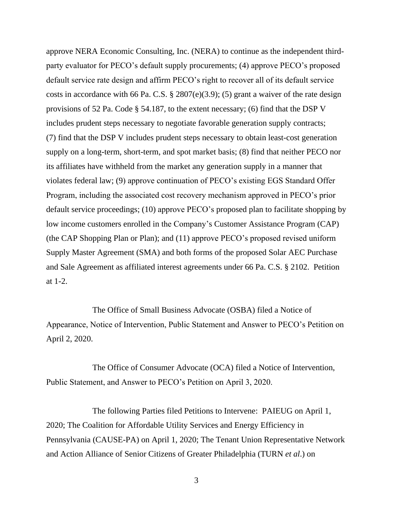approve NERA Economic Consulting, Inc. (NERA) to continue as the independent thirdparty evaluator for PECO's default supply procurements; (4) approve PECO's proposed default service rate design and affirm PECO's right to recover all of its default service costs in accordance with 66 Pa. C.S. § 2807(e)(3.9); (5) grant a waiver of the rate design provisions of 52 Pa. Code § 54.187, to the extent necessary; (6) find that the DSP V includes prudent steps necessary to negotiate favorable generation supply contracts; (7) find that the DSP V includes prudent steps necessary to obtain least-cost generation supply on a long-term, short-term, and spot market basis; (8) find that neither PECO nor its affiliates have withheld from the market any generation supply in a manner that violates federal law; (9) approve continuation of PECO's existing EGS Standard Offer Program, including the associated cost recovery mechanism approved in PECO's prior default service proceedings; (10) approve PECO's proposed plan to facilitate shopping by low income customers enrolled in the Company's Customer Assistance Program (CAP) (the CAP Shopping Plan or Plan); and (11) approve PECO's proposed revised uniform Supply Master Agreement (SMA) and both forms of the proposed Solar AEC Purchase and Sale Agreement as affiliated interest agreements under 66 Pa. C.S. § 2102. Petition at 1-2.

The Office of Small Business Advocate (OSBA) filed a Notice of Appearance, Notice of Intervention, Public Statement and Answer to PECO's Petition on April 2, 2020.

The Office of Consumer Advocate (OCA) filed a Notice of Intervention, Public Statement, and Answer to PECO's Petition on April 3, 2020.

The following Parties filed Petitions to Intervene: PAIEUG on April 1, 2020; The Coalition for Affordable Utility Services and Energy Efficiency in Pennsylvania (CAUSE-PA) on April 1, 2020; The Tenant Union Representative Network and Action Alliance of Senior Citizens of Greater Philadelphia (TURN *et al*.) on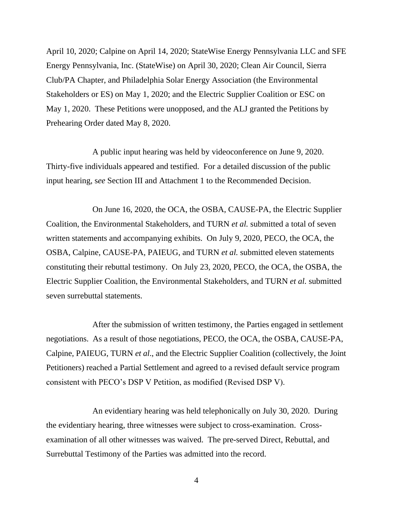April 10, 2020; Calpine on April 14, 2020; StateWise Energy Pennsylvania LLC and SFE Energy Pennsylvania, Inc. (StateWise) on April 30, 2020; Clean Air Council, Sierra Club/PA Chapter, and Philadelphia Solar Energy Association (the Environmental Stakeholders or ES) on May 1, 2020; and the Electric Supplier Coalition or ESC on May 1, 2020. These Petitions were unopposed, and the ALJ granted the Petitions by Prehearing Order dated May 8, 2020.

A public input hearing was held by videoconference on June 9, 2020. Thirty-five individuals appeared and testified. For a detailed discussion of the public input hearing, s*ee* Section III and Attachment 1 to the Recommended Decision.

On June 16, 2020, the OCA, the OSBA, CAUSE-PA, the Electric Supplier Coalition, the Environmental Stakeholders, and TURN *et al.* submitted a total of seven written statements and accompanying exhibits. On July 9, 2020, PECO, the OCA, the OSBA, Calpine, CAUSE-PA, PAIEUG, and TURN *et al.* submitted eleven statements constituting their rebuttal testimony. On July 23, 2020, PECO, the OCA, the OSBA, the Electric Supplier Coalition, the Environmental Stakeholders, and TURN *et al.* submitted seven surrebuttal statements.

After the submission of written testimony, the Parties engaged in settlement negotiations. As a result of those negotiations, PECO, the OCA, the OSBA, CAUSE-PA, Calpine, PAIEUG, TURN *et al*., and the Electric Supplier Coalition (collectively, the Joint Petitioners) reached a Partial Settlement and agreed to a revised default service program consistent with PECO's DSP V Petition, as modified (Revised DSP V).

An evidentiary hearing was held telephonically on July 30, 2020. During the evidentiary hearing, three witnesses were subject to cross-examination. Crossexamination of all other witnesses was waived. The pre-served Direct, Rebuttal, and Surrebuttal Testimony of the Parties was admitted into the record.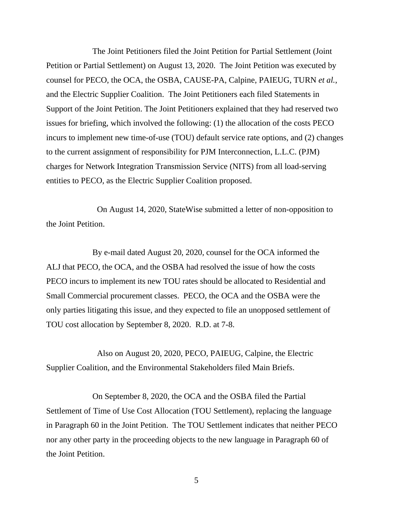The Joint Petitioners filed the Joint Petition for Partial Settlement (Joint Petition or Partial Settlement) on August 13, 2020. The Joint Petition was executed by counsel for PECO, the OCA, the OSBA, CAUSE-PA, Calpine, PAIEUG, TURN *et al.*, and the Electric Supplier Coalition. The Joint Petitioners each filed Statements in Support of the Joint Petition. The Joint Petitioners explained that they had reserved two issues for briefing, which involved the following: (1) the allocation of the costs PECO incurs to implement new time-of-use (TOU) default service rate options, and (2) changes to the current assignment of responsibility for PJM Interconnection, L.L.C. (PJM) charges for Network Integration Transmission Service (NITS) from all load-serving entities to PECO, as the Electric Supplier Coalition proposed.

On August 14, 2020, StateWise submitted a letter of non-opposition to the Joint Petition.

By e-mail dated August 20, 2020, counsel for the OCA informed the ALJ that PECO, the OCA, and the OSBA had resolved the issue of how the costs PECO incurs to implement its new TOU rates should be allocated to Residential and Small Commercial procurement classes. PECO, the OCA and the OSBA were the only parties litigating this issue, and they expected to file an unopposed settlement of TOU cost allocation by September 8, 2020. R.D. at 7-8.

Also on August 20, 2020, PECO, PAIEUG, Calpine, the Electric Supplier Coalition, and the Environmental Stakeholders filed Main Briefs.

On September 8, 2020, the OCA and the OSBA filed the Partial Settlement of Time of Use Cost Allocation (TOU Settlement), replacing the language in Paragraph 60 in the Joint Petition. The TOU Settlement indicates that neither PECO nor any other party in the proceeding objects to the new language in Paragraph 60 of the Joint Petition.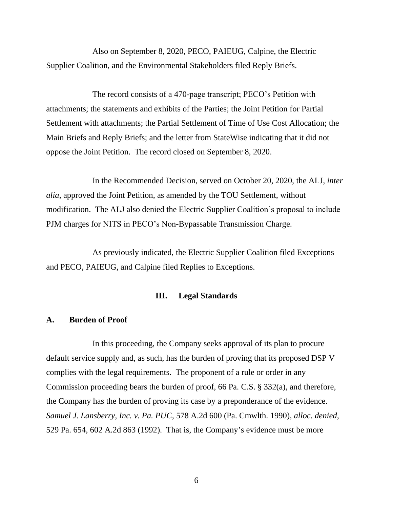Also on September 8, 2020, PECO, PAIEUG, Calpine, the Electric Supplier Coalition, and the Environmental Stakeholders filed Reply Briefs.

The record consists of a 470-page transcript; PECO's Petition with attachments; the statements and exhibits of the Parties; the Joint Petition for Partial Settlement with attachments; the Partial Settlement of Time of Use Cost Allocation; the Main Briefs and Reply Briefs; and the letter from StateWise indicating that it did not oppose the Joint Petition. The record closed on September 8, 2020.

In the Recommended Decision, served on October 20, 2020, the ALJ, *inter alia*, approved the Joint Petition, as amended by the TOU Settlement, without modification. The ALJ also denied the Electric Supplier Coalition's proposal to include PJM charges for NITS in PECO's Non-Bypassable Transmission Charge.

As previously indicated, the Electric Supplier Coalition filed Exceptions and PECO, PAIEUG, and Calpine filed Replies to Exceptions.

### **III. Legal Standards**

#### <span id="page-8-1"></span><span id="page-8-0"></span>**A. Burden of Proof**

In this proceeding, the Company seeks approval of its plan to procure default service supply and, as such, has the burden of proving that its proposed DSP V complies with the legal requirements. The proponent of a rule or order in any Commission proceeding bears the burden of proof, 66 Pa. C.S. § 332(a), and therefore, the Company has the burden of proving its case by a preponderance of the evidence. *Samuel J. Lansberry, Inc. v. Pa. PUC*, 578 A.2d 600 (Pa. Cmwlth. 1990), *alloc. denied*, 529 Pa. 654, 602 A.2d 863 (1992). That is, the Company's evidence must be more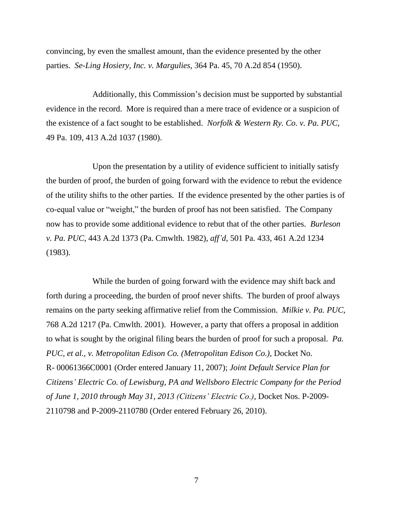convincing, by even the smallest amount, than the evidence presented by the other parties. *Se-Ling Hosiery, Inc. v. Margulies*, 364 Pa. 45, 70 A.2d 854 (1950).

Additionally, this Commission's decision must be supported by substantial evidence in the record. More is required than a mere trace of evidence or a suspicion of the existence of a fact sought to be established. *Norfolk & Western Ry. Co. v. Pa. PUC,* 49 Pa. 109, 413 A.2d 1037 (1980).

Upon the presentation by a utility of evidence sufficient to initially satisfy the burden of proof, the burden of going forward with the evidence to rebut the evidence of the utility shifts to the other parties. If the evidence presented by the other parties is of co-equal value or "weight," the burden of proof has not been satisfied. The Company now has to provide some additional evidence to rebut that of the other parties. *[Burleson](http://www.lexis.com/research/buttonTFLink?_m=0d7e78528297490763e78babd487bc42&_xfercite=%3ccite%20cc%3d%22USA%22%3e%3c%21%5bCDATA%5b2006%20Pa.%20PUC%20LEXIS%20102%5d%5d%3e%3c%2fcite%3e&_butType=3&_butStat=2&_butNum=16&_butInline=1&_butinfo=%3ccite%20cc%3d%22USA%22%3e%3c%21%5bCDATA%5b66%20Pa.%20Commw.%20282%5d%5d%3e%3c%2fcite%3e&_fmtstr=FULL&docnum=9&_startdoc=1&wchp=dGLzVzz-zSkAz&_md5=44d0f4cf51bc1159652e85695542a09d)  v. Pa. PUC,* [443 A.2d 1373 \(Pa. Cmwlth. 1982\),](http://www.lexis.com/research/buttonTFLink?_m=0d7e78528297490763e78babd487bc42&_xfercite=%3ccite%20cc%3d%22USA%22%3e%3c%21%5bCDATA%5b2006%20Pa.%20PUC%20LEXIS%20102%5d%5d%3e%3c%2fcite%3e&_butType=3&_butStat=2&_butNum=16&_butInline=1&_butinfo=%3ccite%20cc%3d%22USA%22%3e%3c%21%5bCDATA%5b66%20Pa.%20Commw.%20282%5d%5d%3e%3c%2fcite%3e&_fmtstr=FULL&docnum=9&_startdoc=1&wchp=dGLzVzz-zSkAz&_md5=44d0f4cf51bc1159652e85695542a09d) *aff'd,* 501 Pa. 433, 461 A.2d 1234 [\(1983\).](http://www.lexis.com/research/buttonTFLink?_m=0d7e78528297490763e78babd487bc42&_xfercite=%3ccite%20cc%3d%22USA%22%3e%3c%21%5bCDATA%5b2006%20Pa.%20PUC%20LEXIS%20102%5d%5d%3e%3c%2fcite%3e&_butType=3&_butStat=2&_butNum=16&_butInline=1&_butinfo=%3ccite%20cc%3d%22USA%22%3e%3c%21%5bCDATA%5b66%20Pa.%20Commw.%20282%5d%5d%3e%3c%2fcite%3e&_fmtstr=FULL&docnum=9&_startdoc=1&wchp=dGLzVzz-zSkAz&_md5=44d0f4cf51bc1159652e85695542a09d)

While the burden of going forward with the evidence may shift back and forth during a proceeding, the burden of proof never shifts.The burden of proof always remains on the party seeking affirmative relief from the Commission. *Milkie v. Pa. PUC,*  768 A.2d 1217 (Pa. Cmwlth. 2001). However, a party that offers a proposal in addition to what is sought by the original filing bears the burden of proof for such a proposal. *Pa. PUC, et al., v. Metropolitan Edison Co. (Metropolitan Edison Co.),* Docket No. R- 00061366C0001 (Order entered January 11, 2007); *Joint Default Service Plan for Citizens' Electric Co. of Lewisburg, PA and Wellsboro Electric Company for the Period of June 1, 2010 through May 31, 2013 (Citizens' Electric Co.),* Docket Nos. P-2009- 2110798 and P-2009-2110780 (Order entered February 26, 2010).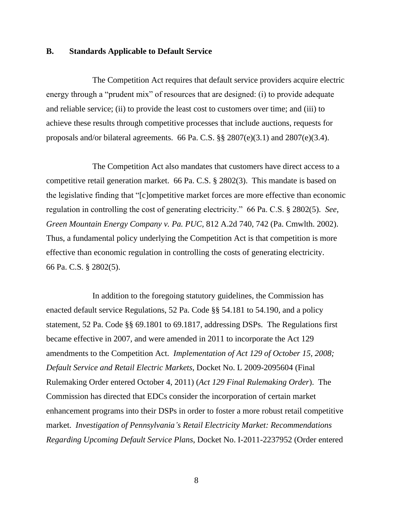#### <span id="page-10-0"></span>**B. Standards Applicable to Default Service**

The Competition Act requires that default service providers acquire electric energy through a "prudent mix" of resources that are designed: (i) to provide adequate and reliable service; (ii) to provide the least cost to customers over time; and (iii) to achieve these results through competitive processes that include auctions, requests for proposals and/or bilateral agreements. 66 Pa. C.S. §§ 2807(e)(3.1) and 2807(e)(3.4).

The Competition Act also mandates that customers have direct access to a competitive retail generation market. 66 Pa. C.S. § 2802(3). This mandate is based on the legislative finding that "[c]ompetitive market forces are more effective than economic regulation in controlling the cost of generating electricity." 66 Pa. C.S. § 2802(5). *See, Green Mountain Energy Company v. Pa. PUC,* 812 A.2d 740, 742 (Pa. Cmwlth. 2002). Thus, a fundamental policy underlying the Competition Act is that competition is more effective than economic regulation in controlling the costs of generating electricity. 66 Pa. C.S. § 2802(5).

In addition to the foregoing statutory guidelines, the Commission has enacted default service Regulations, 52 Pa. Code §§ 54.181 to 54.190, and a policy statement, 52 Pa. Code §§ 69.1801 to 69.1817, addressing DSPs. The Regulations first became effective in 2007, and were amended in 2011 to incorporate the Act 129 amendments to the Competition Act. *Implementation of Act 129 of October 15, 2008; Default Service and Retail Electric Markets*, Docket No. L 2009-2095604 (Final Rulemaking Order entered October 4, 2011) (*Act 129 Final Rulemaking Order*). The Commission has directed that EDCs consider the incorporation of certain market enhancement programs into their DSPs in order to foster a more robust retail competitive market. *Investigation of Pennsylvania's Retail Electricity Market: Recommendations Regarding Upcoming Default Service Plans,* Docket No. I-2011-2237952 (Order entered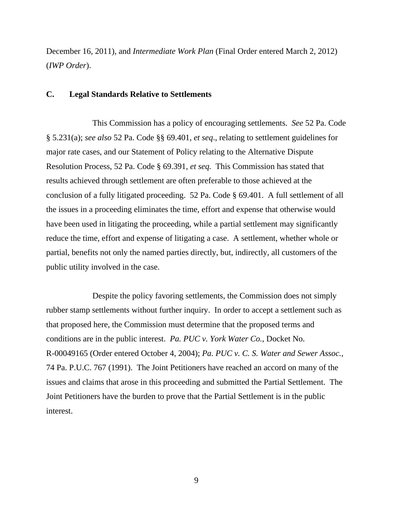December 16, 2011), and *Intermediate Work Plan* (Final Order entered March 2, 2012) (*IWP Order*).

### <span id="page-11-0"></span>**C. Legal Standards Relative to Settlements**

This Commission has a policy of encouraging settlements. *See* 52 Pa. Code § 5.231(a); *see also* 52 Pa. Code §§ 69.401, *et seq*., relating to settlement guidelines for major rate cases, and our Statement of Policy relating to the Alternative Dispute Resolution Process, 52 Pa. Code § 69.391, *et seq.* This Commission has stated that results achieved through settlement are often preferable to those achieved at the conclusion of a fully litigated proceeding. 52 Pa. Code § 69.401. A full settlement of all the issues in a proceeding eliminates the time, effort and expense that otherwise would have been used in litigating the proceeding, while a partial settlement may significantly reduce the time, effort and expense of litigating a case. A settlement, whether whole or partial, benefits not only the named parties directly, but, indirectly, all customers of the public utility involved in the case.

Despite the policy favoring settlements, the Commission does not simply rubber stamp settlements without further inquiry. In order to accept a settlement such as that proposed here, the Commission must determine that the proposed terms and conditions are in the public interest. *Pa. PUC v. York Water Co.*, Docket No. R-00049165 (Order entered October 4, 2004); *Pa. PUC v. C. S. Water and Sewer Assoc.*, 74 Pa. P.U.C. 767 (1991). The Joint Petitioners have reached an accord on many of the issues and claims that arose in this proceeding and submitted the Partial Settlement. The Joint Petitioners have the burden to prove that the Partial Settlement is in the public interest.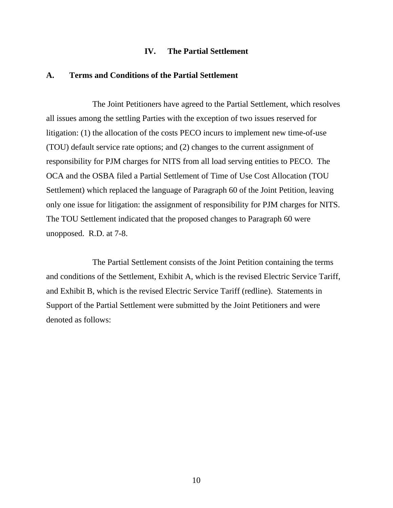#### **IV. The Partial Settlement**

## <span id="page-12-1"></span><span id="page-12-0"></span>**A. Terms and Conditions of the Partial Settlement**

The Joint Petitioners have agreed to the Partial Settlement, which resolves all issues among the settling Parties with the exception of two issues reserved for litigation: (1) the allocation of the costs PECO incurs to implement new time-of-use (TOU) default service rate options; and (2) changes to the current assignment of responsibility for PJM charges for NITS from all load serving entities to PECO. The OCA and the OSBA filed a Partial Settlement of Time of Use Cost Allocation (TOU Settlement) which replaced the language of Paragraph 60 of the Joint Petition, leaving only one issue for litigation: the assignment of responsibility for PJM charges for NITS. The TOU Settlement indicated that the proposed changes to Paragraph 60 were unopposed. R.D. at 7-8.

The Partial Settlement consists of the Joint Petition containing the terms and conditions of the Settlement, Exhibit A, which is the revised Electric Service Tariff, and Exhibit B, which is the revised Electric Service Tariff (redline). Statements in Support of the Partial Settlement were submitted by the Joint Petitioners and were denoted as follows: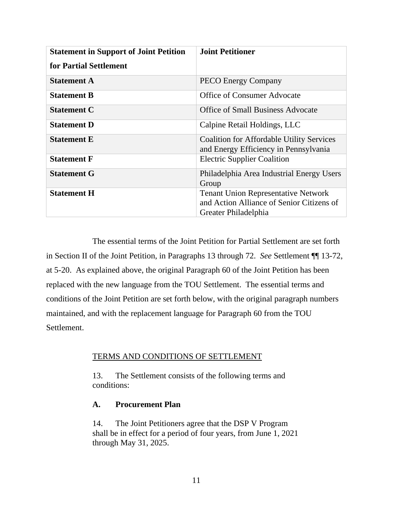| <b>Statement in Support of Joint Petition</b> | <b>Joint Petitioner</b>                                                                                         |  |
|-----------------------------------------------|-----------------------------------------------------------------------------------------------------------------|--|
| for Partial Settlement                        |                                                                                                                 |  |
| <b>Statement A</b>                            | <b>PECO Energy Company</b>                                                                                      |  |
| <b>Statement B</b>                            | <b>Office of Consumer Advocate</b>                                                                              |  |
| <b>Statement C</b>                            | Office of Small Business Advocate                                                                               |  |
| <b>Statement D</b>                            | Calpine Retail Holdings, LLC                                                                                    |  |
| <b>Statement E</b>                            | <b>Coalition for Affordable Utility Services</b><br>and Energy Efficiency in Pennsylvania                       |  |
| <b>Statement F</b>                            | <b>Electric Supplier Coalition</b>                                                                              |  |
| <b>Statement G</b>                            | Philadelphia Area Industrial Energy Users<br>Group                                                              |  |
| <b>Statement H</b>                            | <b>Tenant Union Representative Network</b><br>and Action Alliance of Senior Citizens of<br>Greater Philadelphia |  |

The essential terms of the Joint Petition for Partial Settlement are set forth in Section II of the Joint Petition, in Paragraphs 13 through 72. *See* Settlement ¶¶ 13-72, at 5-20. As explained above, the original Paragraph 60 of the Joint Petition has been replaced with the new language from the TOU Settlement. The essential terms and conditions of the Joint Petition are set forth below, with the original paragraph numbers maintained, and with the replacement language for Paragraph 60 from the TOU Settlement.

## TERMS AND CONDITIONS OF SETTLEMENT

13. The Settlement consists of the following terms and conditions:

## **A. Procurement Plan**

14. The Joint Petitioners agree that the DSP V Program shall be in effect for a period of four years, from June 1, 2021 through May 31, 2025.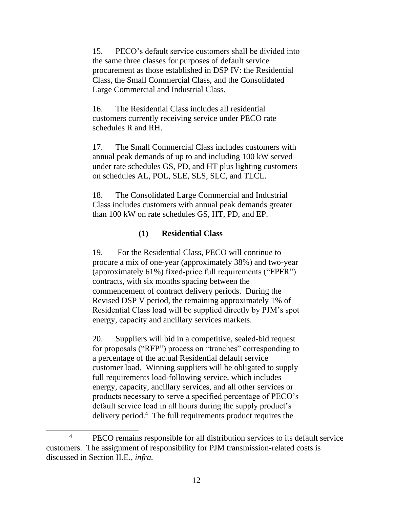15. PECO's default service customers shall be divided into the same three classes for purposes of default service procurement as those established in DSP IV: the Residential Class, the Small Commercial Class, and the Consolidated Large Commercial and Industrial Class.

16. The Residential Class includes all residential customers currently receiving service under PECO rate schedules R and RH.

17. The Small Commercial Class includes customers with annual peak demands of up to and including 100 kW served under rate schedules GS, PD, and HT plus lighting customers on schedules AL, POL, SLE, SLS, SLC, and TLCL.

18. The Consolidated Large Commercial and Industrial Class includes customers with annual peak demands greater than 100 kW on rate schedules GS, HT, PD, and EP.

## **(1) Residential Class**

19. For the Residential Class, PECO will continue to procure a mix of one-year (approximately 38%) and two-year (approximately 61%) fixed-price full requirements ("FPFR") contracts, with six months spacing between the commencement of contract delivery periods. During the Revised DSP V period, the remaining approximately 1% of Residential Class load will be supplied directly by PJM's spot energy, capacity and ancillary services markets.

20. Suppliers will bid in a competitive, sealed-bid request for proposals ("RFP") process on "tranches" corresponding to a percentage of the actual Residential default service customer load. Winning suppliers will be obligated to supply full requirements load-following service, which includes energy, capacity, ancillary services, and all other services or products necessary to serve a specified percentage of PECO's default service load in all hours during the supply product's delivery period.<sup>4</sup> The full requirements product requires the

<sup>&</sup>lt;sup>4</sup> PECO remains responsible for all distribution services to its default service customers. The assignment of responsibility for PJM transmission-related costs is discussed in Section II.E., *infra.*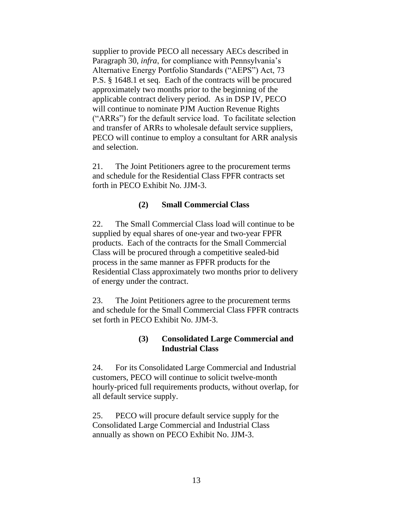supplier to provide PECO all necessary AECs described in Paragraph 30, *infra*, for compliance with Pennsylvania's Alternative Energy Portfolio Standards ("AEPS") Act, 73 P.S. § 1648.1 et seq. Each of the contracts will be procured approximately two months prior to the beginning of the applicable contract delivery period. As in DSP IV, PECO will continue to nominate PJM Auction Revenue Rights ("ARRs") for the default service load. To facilitate selection and transfer of ARRs to wholesale default service suppliers, PECO will continue to employ a consultant for ARR analysis and selection.

21. The Joint Petitioners agree to the procurement terms and schedule for the Residential Class FPFR contracts set forth in PECO Exhibit No. JJM-3.

## **(2) Small Commercial Class**

22. The Small Commercial Class load will continue to be supplied by equal shares of one-year and two-year FPFR products. Each of the contracts for the Small Commercial Class will be procured through a competitive sealed-bid process in the same manner as FPFR products for the Residential Class approximately two months prior to delivery of energy under the contract.

23. The Joint Petitioners agree to the procurement terms and schedule for the Small Commercial Class FPFR contracts set forth in PECO Exhibit No. JJM-3.

## **(3) Consolidated Large Commercial and Industrial Class**

24. For its Consolidated Large Commercial and Industrial customers, PECO will continue to solicit twelve-month hourly-priced full requirements products, without overlap, for all default service supply.

25. PECO will procure default service supply for the Consolidated Large Commercial and Industrial Class annually as shown on PECO Exhibit No. JJM-3.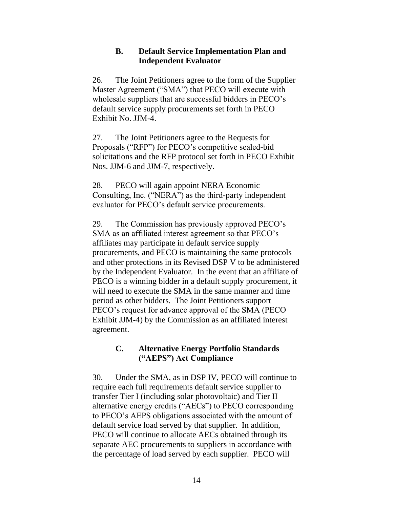## **B. Default Service Implementation Plan and Independent Evaluator**

26. The Joint Petitioners agree to the form of the Supplier Master Agreement ("SMA") that PECO will execute with wholesale suppliers that are successful bidders in PECO's default service supply procurements set forth in PECO Exhibit No. JJM-4.

27. The Joint Petitioners agree to the Requests for Proposals ("RFP") for PECO's competitive sealed-bid solicitations and the RFP protocol set forth in PECO Exhibit Nos. JJM-6 and JJM-7, respectively.

28. PECO will again appoint NERA Economic Consulting, Inc. ("NERA") as the third-party independent evaluator for PECO's default service procurements.

29. The Commission has previously approved PECO's SMA as an affiliated interest agreement so that PECO's affiliates may participate in default service supply procurements, and PECO is maintaining the same protocols and other protections in its Revised DSP V to be administered by the Independent Evaluator. In the event that an affiliate of PECO is a winning bidder in a default supply procurement, it will need to execute the SMA in the same manner and time period as other bidders. The Joint Petitioners support PECO's request for advance approval of the SMA (PECO Exhibit JJM-4) by the Commission as an affiliated interest agreement.

## **C. Alternative Energy Portfolio Standards ("AEPS") Act Compliance**

30. Under the SMA, as in DSP IV, PECO will continue to require each full requirements default service supplier to transfer Tier I (including solar photovoltaic) and Tier II alternative energy credits ("AECs") to PECO corresponding to PECO's AEPS obligations associated with the amount of default service load served by that supplier. In addition, PECO will continue to allocate AECs obtained through its separate AEC procurements to suppliers in accordance with the percentage of load served by each supplier. PECO will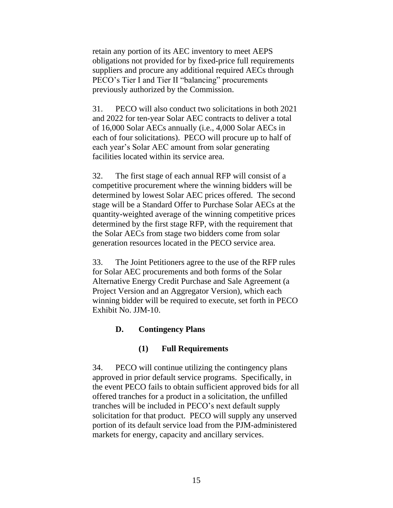retain any portion of its AEC inventory to meet AEPS obligations not provided for by fixed-price full requirements suppliers and procure any additional required AECs through PECO's Tier I and Tier II "balancing" procurements previously authorized by the Commission.

31. PECO will also conduct two solicitations in both 2021 and 2022 for ten-year Solar AEC contracts to deliver a total of 16,000 Solar AECs annually (i.e., 4,000 Solar AECs in each of four solicitations). PECO will procure up to half of each year's Solar AEC amount from solar generating facilities located within its service area.

32. The first stage of each annual RFP will consist of a competitive procurement where the winning bidders will be determined by lowest Solar AEC prices offered. The second stage will be a Standard Offer to Purchase Solar AECs at the quantity-weighted average of the winning competitive prices determined by the first stage RFP, with the requirement that the Solar AECs from stage two bidders come from solar generation resources located in the PECO service area.

33. The Joint Petitioners agree to the use of the RFP rules for Solar AEC procurements and both forms of the Solar Alternative Energy Credit Purchase and Sale Agreement (a Project Version and an Aggregator Version), which each winning bidder will be required to execute, set forth in PECO Exhibit No. JJM-10.

## **D. Contingency Plans**

## **(1) Full Requirements**

34. PECO will continue utilizing the contingency plans approved in prior default service programs. Specifically, in the event PECO fails to obtain sufficient approved bids for all offered tranches for a product in a solicitation, the unfilled tranches will be included in PECO's next default supply solicitation for that product. PECO will supply any unserved portion of its default service load from the PJM-administered markets for energy, capacity and ancillary services.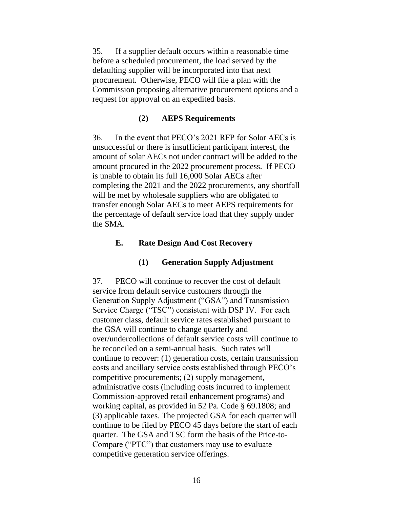35. If a supplier default occurs within a reasonable time before a scheduled procurement, the load served by the defaulting supplier will be incorporated into that next procurement. Otherwise, PECO will file a plan with the Commission proposing alternative procurement options and a request for approval on an expedited basis.

## **(2) AEPS Requirements**

36. In the event that PECO's 2021 RFP for Solar AECs is unsuccessful or there is insufficient participant interest, the amount of solar AECs not under contract will be added to the amount procured in the 2022 procurement process. If PECO is unable to obtain its full 16,000 Solar AECs after completing the 2021 and the 2022 procurements, any shortfall will be met by wholesale suppliers who are obligated to transfer enough Solar AECs to meet AEPS requirements for the percentage of default service load that they supply under the SMA.

## **E. Rate Design And Cost Recovery**

## **(1) Generation Supply Adjustment**

37. PECO will continue to recover the cost of default service from default service customers through the Generation Supply Adjustment ("GSA") and Transmission Service Charge ("TSC") consistent with DSP IV. For each customer class, default service rates established pursuant to the GSA will continue to change quarterly and over/undercollections of default service costs will continue to be reconciled on a semi-annual basis. Such rates will continue to recover: (1) generation costs, certain transmission costs and ancillary service costs established through PECO's competitive procurements; (2) supply management, administrative costs (including costs incurred to implement Commission-approved retail enhancement programs) and working capital, as provided in 52 Pa. Code § 69.1808; and (3) applicable taxes. The projected GSA for each quarter will continue to be filed by PECO 45 days before the start of each quarter. The GSA and TSC form the basis of the Price-to-Compare ("PTC") that customers may use to evaluate competitive generation service offerings.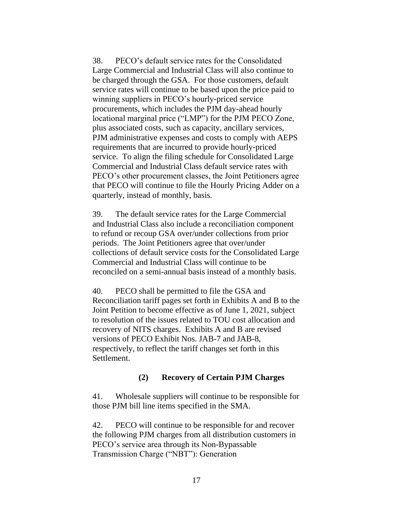38. PECO's default service rates for the Consolidated Large Commercial and Industrial Class will also continue to be charged through the GSA. For those customers, default service rates will continue to be based upon the price paid to winning suppliers in PECO's hourly-priced service procurements, which includes the PJM day-ahead hourly locational marginal price ("LMP") for the PJM PECO Zone, plus associated costs, such as capacity, ancillary services, PJM administrative expenses and costs to comply with AEPS requirements that are incurred to provide hourly-priced service. To align the filing schedule for Consolidated Large Commercial and Industrial Class default service rates with PECO's other procurement classes, the Joint Petitioners agree that PECO will continue to file the Hourly Pricing Adder on a quarterly, instead of monthly, basis.

39. The default service rates for the Large Commercial and Industrial Class also include a reconciliation component to refund or recoup GSA over/under collections from prior periods. The Joint Petitioners agree that over/under collections of default service costs for the Consolidated Large Commercial and Industrial Class will continue to be reconciled on a semi-annual basis instead of a monthly basis.

40. PECO shall be permitted to file the GSA and Reconciliation tariff pages set forth in Exhibits A and B to the Joint Petition to become effective as of June 1, 2021, subject to resolution of the issues related to TOU cost allocation and recovery of NITS charges. Exhibits A and B are revised versions of PECO Exhibit Nos. JAB-7 and JAB-8, respectively, to reflect the tariff changes set forth in this Settlement.

## **(2) Recovery of Certain PJM Charges**

41. Wholesale suppliers will continue to be responsible for those PJM bill line items specified in the SMA.

42. PECO will continue to be responsible for and recover the following PJM charges from all distribution customers in PECO's service area through its Non-Bypassable Transmission Charge ("NBT"): Generation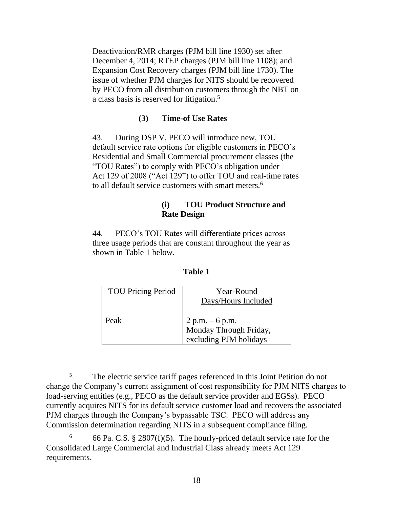Deactivation/RMR charges (PJM bill line 1930) set after December 4, 2014; RTEP charges (PJM bill line 1108); and Expansion Cost Recovery charges (PJM bill line 1730). The issue of whether PJM charges for NITS should be recovered by PECO from all distribution customers through the NBT on a class basis is reserved for litigation.<sup>5</sup>

## **(3) Time-of Use Rates**

43. During DSP V, PECO will introduce new, TOU default service rate options for eligible customers in PECO's Residential and Small Commercial procurement classes (the "TOU Rates") to comply with PECO's obligation under Act 129 of 2008 ("Act 129") to offer TOU and real-time rates to all default service customers with smart meters.<sup>6</sup>

## **(i) TOU Product Structure and Rate Design**

44. PECO's TOU Rates will differentiate prices across three usage periods that are constant throughout the year as shown in Table 1 below.

| <b>TOU Pricing Period</b> | Year-Round<br>Days/Hours Included                                     |
|---------------------------|-----------------------------------------------------------------------|
| Peak                      | $2 p.m. - 6 p.m.$<br>Monday Through Friday,<br>excluding PJM holidays |

## **Table 1**

<sup>&</sup>lt;sup>5</sup> The electric service tariff pages referenced in this Joint Petition do not change the Company's current assignment of cost responsibility for PJM NITS charges to load-serving entities (e.g., PECO as the default service provider and EGSs). PECO currently acquires NITS for its default service customer load and recovers the associated PJM charges through the Company's bypassable TSC. PECO will address any Commission determination regarding NITS in a subsequent compliance filing.

<sup>&</sup>lt;sup>6</sup> 66 Pa. C.S. § 2807(f)(5). The hourly-priced default service rate for the Consolidated Large Commercial and Industrial Class already meets Act 129 requirements.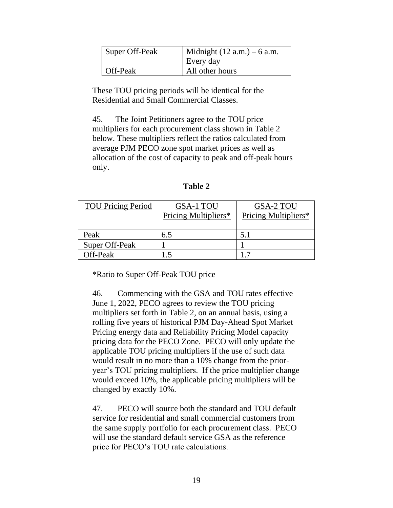| Super Off-Peak | Midnight $(12 a.m.) - 6 a.m.$<br>Every day |  |
|----------------|--------------------------------------------|--|
| Off-Peak       | All other hours                            |  |

These TOU pricing periods will be identical for the Residential and Small Commercial Classes.

45. The Joint Petitioners agree to the TOU price multipliers for each procurement class shown in Table 2 below. These multipliers reflect the ratios calculated from average PJM PECO zone spot market prices as well as allocation of the cost of capacity to peak and off-peak hours only.

| <b>TOU Pricing Period</b> | GSA-1 TOU<br>Pricing Multipliers* | GSA-2 TOU<br>Pricing Multipliers* |
|---------------------------|-----------------------------------|-----------------------------------|
| Peak                      | 6.5                               | 5.1                               |
| Super Off-Peak            |                                   |                                   |
| Off-Peak                  |                                   |                                   |

**Table 2**

\*Ratio to Super Off-Peak TOU price

46. Commencing with the GSA and TOU rates effective June 1, 2022, PECO agrees to review the TOU pricing multipliers set forth in Table 2, on an annual basis, using a rolling five years of historical PJM Day-Ahead Spot Market Pricing energy data and Reliability Pricing Model capacity pricing data for the PECO Zone. PECO will only update the applicable TOU pricing multipliers if the use of such data would result in no more than a 10% change from the prioryear's TOU pricing multipliers. If the price multiplier change would exceed 10%, the applicable pricing multipliers will be changed by exactly 10%.

47. PECO will source both the standard and TOU default service for residential and small commercial customers from the same supply portfolio for each procurement class. PECO will use the standard default service GSA as the reference price for PECO's TOU rate calculations.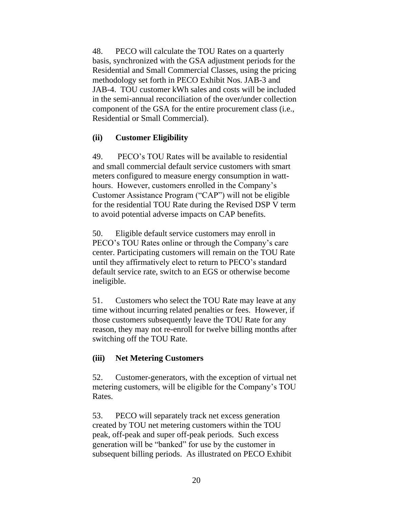48. PECO will calculate the TOU Rates on a quarterly basis, synchronized with the GSA adjustment periods for the Residential and Small Commercial Classes, using the pricing methodology set forth in PECO Exhibit Nos. JAB-3 and JAB-4. TOU customer kWh sales and costs will be included in the semi-annual reconciliation of the over/under collection component of the GSA for the entire procurement class (i.e., Residential or Small Commercial).

## **(ii) Customer Eligibility**

49. PECO's TOU Rates will be available to residential and small commercial default service customers with smart meters configured to measure energy consumption in watthours. However, customers enrolled in the Company's Customer Assistance Program ("CAP") will not be eligible for the residential TOU Rate during the Revised DSP V term to avoid potential adverse impacts on CAP benefits.

50. Eligible default service customers may enroll in PECO's TOU Rates online or through the Company's care center. Participating customers will remain on the TOU Rate until they affirmatively elect to return to PECO's standard default service rate, switch to an EGS or otherwise become ineligible.

51. Customers who select the TOU Rate may leave at any time without incurring related penalties or fees. However, if those customers subsequently leave the TOU Rate for any reason, they may not re-enroll for twelve billing months after switching off the TOU Rate.

## **(iii) Net Metering Customers**

52. Customer-generators, with the exception of virtual net metering customers, will be eligible for the Company's TOU Rates.

53. PECO will separately track net excess generation created by TOU net metering customers within the TOU peak, off-peak and super off-peak periods. Such excess generation will be "banked" for use by the customer in subsequent billing periods. As illustrated on PECO Exhibit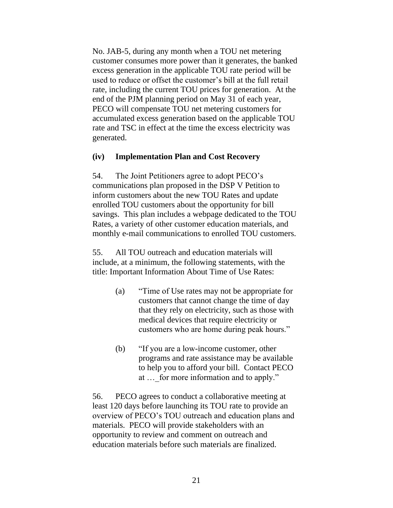No. JAB-5, during any month when a TOU net metering customer consumes more power than it generates, the banked excess generation in the applicable TOU rate period will be used to reduce or offset the customer's bill at the full retail rate, including the current TOU prices for generation. At the end of the PJM planning period on May 31 of each year, PECO will compensate TOU net metering customers for accumulated excess generation based on the applicable TOU rate and TSC in effect at the time the excess electricity was generated.

### **(iv) Implementation Plan and Cost Recovery**

54. The Joint Petitioners agree to adopt PECO's communications plan proposed in the DSP V Petition to inform customers about the new TOU Rates and update enrolled TOU customers about the opportunity for bill savings. This plan includes a webpage dedicated to the TOU Rates, a variety of other customer education materials, and monthly e-mail communications to enrolled TOU customers.

55. All TOU outreach and education materials will include, at a minimum, the following statements, with the title: Important Information About Time of Use Rates:

- (a) "Time of Use rates may not be appropriate for customers that cannot change the time of day that they rely on electricity, such as those with medical devices that require electricity or customers who are home during peak hours."
- (b) "If you are a low-income customer, other programs and rate assistance may be available to help you to afford your bill. Contact PECO at ... for more information and to apply."

56. PECO agrees to conduct a collaborative meeting at least 120 days before launching its TOU rate to provide an overview of PECO's TOU outreach and education plans and materials. PECO will provide stakeholders with an opportunity to review and comment on outreach and education materials before such materials are finalized.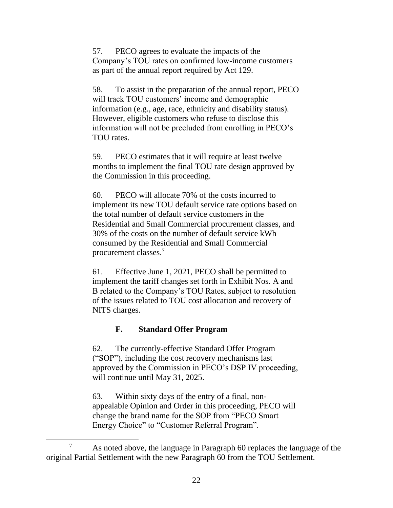57. PECO agrees to evaluate the impacts of the Company's TOU rates on confirmed low-income customers as part of the annual report required by Act 129.

58. To assist in the preparation of the annual report, PECO will track TOU customers' income and demographic information (e.g., age, race, ethnicity and disability status). However, eligible customers who refuse to disclose this information will not be precluded from enrolling in PECO's TOU rates.

59. PECO estimates that it will require at least twelve months to implement the final TOU rate design approved by the Commission in this proceeding.

60. PECO will allocate 70% of the costs incurred to implement its new TOU default service rate options based on the total number of default service customers in the Residential and Small Commercial procurement classes, and 30% of the costs on the number of default service kWh consumed by the Residential and Small Commercial procurement classes.<sup>7</sup>

61. Effective June 1, 2021, PECO shall be permitted to implement the tariff changes set forth in Exhibit Nos. A and B related to the Company's TOU Rates, subject to resolution of the issues related to TOU cost allocation and recovery of NITS charges.

## **F. Standard Offer Program**

62. The currently-effective Standard Offer Program ("SOP"), including the cost recovery mechanisms last approved by the Commission in PECO's DSP IV proceeding, will continue until May 31, 2025.

63. Within sixty days of the entry of a final, nonappealable Opinion and Order in this proceeding, PECO will change the brand name for the SOP from "PECO Smart Energy Choice" to "Customer Referral Program".

<sup>7</sup> As noted above, the language in Paragraph 60 replaces the language of the original Partial Settlement with the new Paragraph 60 from the TOU Settlement.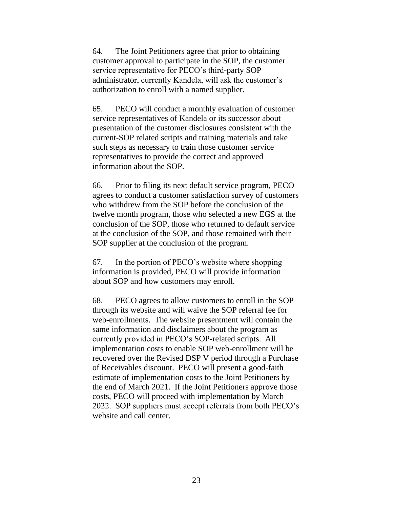64. The Joint Petitioners agree that prior to obtaining customer approval to participate in the SOP, the customer service representative for PECO's third-party SOP administrator, currently Kandela, will ask the customer's authorization to enroll with a named supplier.

65. PECO will conduct a monthly evaluation of customer service representatives of Kandela or its successor about presentation of the customer disclosures consistent with the current-SOP related scripts and training materials and take such steps as necessary to train those customer service representatives to provide the correct and approved information about the SOP.

66. Prior to filing its next default service program, PECO agrees to conduct a customer satisfaction survey of customers who withdrew from the SOP before the conclusion of the twelve month program, those who selected a new EGS at the conclusion of the SOP, those who returned to default service at the conclusion of the SOP, and those remained with their SOP supplier at the conclusion of the program.

67. In the portion of PECO's website where shopping information is provided, PECO will provide information about SOP and how customers may enroll.

68. PECO agrees to allow customers to enroll in the SOP through its website and will waive the SOP referral fee for web-enrollments. The website presentment will contain the same information and disclaimers about the program as currently provided in PECO's SOP-related scripts. All implementation costs to enable SOP web-enrollment will be recovered over the Revised DSP V period through a Purchase of Receivables discount. PECO will present a good-faith estimate of implementation costs to the Joint Petitioners by the end of March 2021. If the Joint Petitioners approve those costs, PECO will proceed with implementation by March 2022. SOP suppliers must accept referrals from both PECO's website and call center.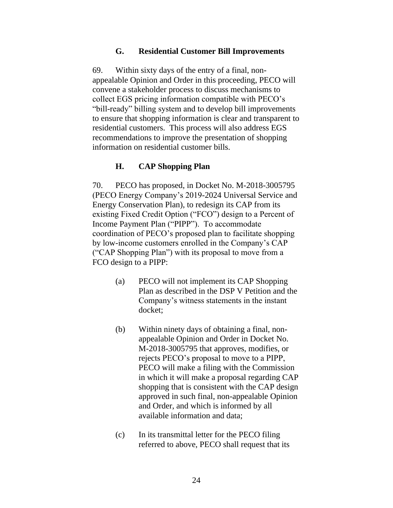## **G. Residential Customer Bill Improvements**

69. Within sixty days of the entry of a final, nonappealable Opinion and Order in this proceeding, PECO will convene a stakeholder process to discuss mechanisms to collect EGS pricing information compatible with PECO's "bill-ready" billing system and to develop bill improvements to ensure that shopping information is clear and transparent to residential customers. This process will also address EGS recommendations to improve the presentation of shopping information on residential customer bills.

## **H. CAP Shopping Plan**

70. PECO has proposed, in Docket No. M-2018-3005795 (PECO Energy Company's 2019-2024 Universal Service and Energy Conservation Plan), to redesign its CAP from its existing Fixed Credit Option ("FCO") design to a Percent of Income Payment Plan ("PIPP"). To accommodate coordination of PECO's proposed plan to facilitate shopping by low-income customers enrolled in the Company's CAP ("CAP Shopping Plan") with its proposal to move from a FCO design to a PIPP:

- (a) PECO will not implement its CAP Shopping Plan as described in the DSP V Petition and the Company's witness statements in the instant docket;
- (b) Within ninety days of obtaining a final, nonappealable Opinion and Order in Docket No. M-2018-3005795 that approves, modifies, or rejects PECO's proposal to move to a PIPP, PECO will make a filing with the Commission in which it will make a proposal regarding CAP shopping that is consistent with the CAP design approved in such final, non-appealable Opinion and Order, and which is informed by all available information and data;
- (c) In its transmittal letter for the PECO filing referred to above, PECO shall request that its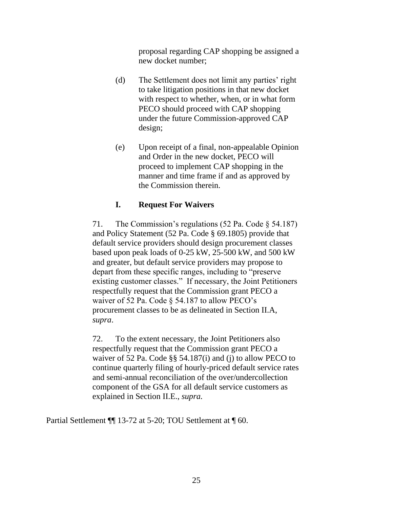proposal regarding CAP shopping be assigned a new docket number;

- (d) The Settlement does not limit any parties' right to take litigation positions in that new docket with respect to whether, when, or in what form PECO should proceed with CAP shopping under the future Commission-approved CAP design;
- (e) Upon receipt of a final, non-appealable Opinion and Order in the new docket, PECO will proceed to implement CAP shopping in the manner and time frame if and as approved by the Commission therein.

## **I. Request For Waivers**

71. The Commission's regulations (52 Pa. Code § 54.187) and Policy Statement (52 Pa. Code § 69.1805) provide that default service providers should design procurement classes based upon peak loads of 0-25 kW, 25-500 kW, and 500 kW and greater, but default service providers may propose to depart from these specific ranges, including to "preserve existing customer classes." If necessary, the Joint Petitioners respectfully request that the Commission grant PECO a waiver of 52 Pa. Code § 54.187 to allow PECO's procurement classes to be as delineated in Section II.A, *supra*.

72. To the extent necessary, the Joint Petitioners also respectfully request that the Commission grant PECO a waiver of 52 Pa. Code §§ 54.187(i) and (j) to allow PECO to continue quarterly filing of hourly-priced default service rates and semi-annual reconciliation of the over/undercollection component of the GSA for all default service customers as explained in Section II.E., *supra.*

Partial Settlement ¶¶ 13-72 at 5-20; TOU Settlement at ¶ 60.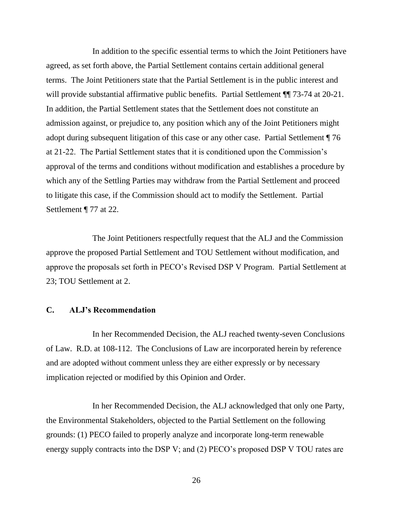In addition to the specific essential terms to which the Joint Petitioners have agreed, as set forth above, the Partial Settlement contains certain additional general terms. The Joint Petitioners state that the Partial Settlement is in the public interest and will provide substantial affirmative public benefits. Partial Settlement  $\P$  73-74 at 20-21. In addition, the Partial Settlement states that the Settlement does not constitute an admission against, or prejudice to, any position which any of the Joint Petitioners might adopt during subsequent litigation of this case or any other case. Partial Settlement ¶ 76 at 21-22. The Partial Settlement states that it is conditioned upon the Commission's approval of the terms and conditions without modification and establishes a procedure by which any of the Settling Parties may withdraw from the Partial Settlement and proceed to litigate this case, if the Commission should act to modify the Settlement. Partial Settlement ¶ 77 at 22.

The Joint Petitioners respectfully request that the ALJ and the Commission approve the proposed Partial Settlement and TOU Settlement without modification, and approve the proposals set forth in PECO's Revised DSP V Program. Partial Settlement at 23; TOU Settlement at 2.

### <span id="page-28-0"></span>**C. ALJ's Recommendation**

In her Recommended Decision, the ALJ reached twenty-seven Conclusions of Law. R.D. at 108-112. The Conclusions of Law are incorporated herein by reference and are adopted without comment unless they are either expressly or by necessary implication rejected or modified by this Opinion and Order.

In her Recommended Decision, the ALJ acknowledged that only one Party, the Environmental Stakeholders, objected to the Partial Settlement on the following grounds: (1) PECO failed to properly analyze and incorporate long-term renewable energy supply contracts into the DSP V; and (2) PECO's proposed DSP V TOU rates are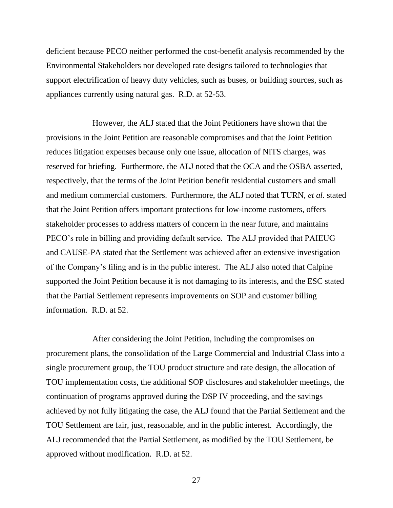deficient because PECO neither performed the cost-benefit analysis recommended by the Environmental Stakeholders nor developed rate designs tailored to technologies that support electrification of heavy duty vehicles, such as buses, or building sources, such as appliances currently using natural gas. R.D. at 52-53.

However, the ALJ stated that the Joint Petitioners have shown that the provisions in the Joint Petition are reasonable compromises and that the Joint Petition reduces litigation expenses because only one issue, allocation of NITS charges, was reserved for briefing. Furthermore, the ALJ noted that the OCA and the OSBA asserted, respectively, that the terms of the Joint Petition benefit residential customers and small and medium commercial customers. Furthermore, the ALJ noted that TURN, *et al.* stated that the Joint Petition offers important protections for low-income customers, offers stakeholder processes to address matters of concern in the near future, and maintains PECO's role in billing and providing default service. The ALJ provided that PAIEUG and CAUSE-PA stated that the Settlement was achieved after an extensive investigation of the Company's filing and is in the public interest. The ALJ also noted that Calpine supported the Joint Petition because it is not damaging to its interests, and the ESC stated that the Partial Settlement represents improvements on SOP and customer billing information. R.D. at 52.

After considering the Joint Petition, including the compromises on procurement plans, the consolidation of the Large Commercial and Industrial Class into a single procurement group, the TOU product structure and rate design, the allocation of TOU implementation costs, the additional SOP disclosures and stakeholder meetings, the continuation of programs approved during the DSP IV proceeding, and the savings achieved by not fully litigating the case, the ALJ found that the Partial Settlement and the TOU Settlement are fair, just, reasonable, and in the public interest. Accordingly, the ALJ recommended that the Partial Settlement, as modified by the TOU Settlement, be approved without modification. R.D. at 52.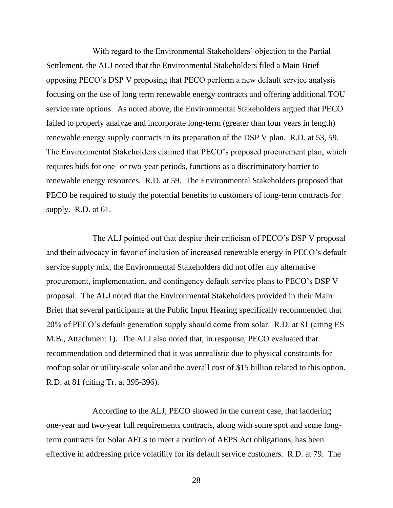With regard to the Environmental Stakeholders' objection to the Partial Settlement, the ALJ noted that the Environmental Stakeholders filed a Main Brief opposing PECO's DSP V proposing that PECO perform a new default service analysis focusing on the use of long term renewable energy contracts and offering additional TOU service rate options. As noted above, the Environmental Stakeholders argued that PECO failed to properly analyze and incorporate long-term (greater than four years in length) renewable energy supply contracts in its preparation of the DSP V plan. R.D. at 53, 59. The Environmental Stakeholders claimed that PECO's proposed procurement plan, which requires bids for one- or two-year periods, functions as a discriminatory barrier to renewable energy resources. R.D. at 59. The Environmental Stakeholders proposed that PECO be required to study the potential benefits to customers of long-term contracts for supply. R.D. at 61.

The ALJ pointed out that despite their criticism of PECO's DSP V proposal and their advocacy in favor of inclusion of increased renewable energy in PECO's default service supply mix, the Environmental Stakeholders did not offer any alternative procurement, implementation, and contingency default service plans to PECO's DSP V proposal. The ALJ noted that the Environmental Stakeholders provided in their Main Brief that several participants at the Public Input Hearing specifically recommended that 20% of PECO's default generation supply should come from solar. R.D. at 81 (citing ES M.B., Attachment 1). The ALJ also noted that, in response, PECO evaluated that recommendation and determined that it was unrealistic due to physical constraints for rooftop solar or utility-scale solar and the overall cost of \$15 billion related to this option. R.D. at 81 (citing Tr. at 395-396).

According to the ALJ, PECO showed in the current case, that laddering one-year and two-year full requirements contracts, along with some spot and some longterm contracts for Solar AECs to meet a portion of AEPS Act obligations, has been effective in addressing price volatility for its default service customers. R.D. at 79. The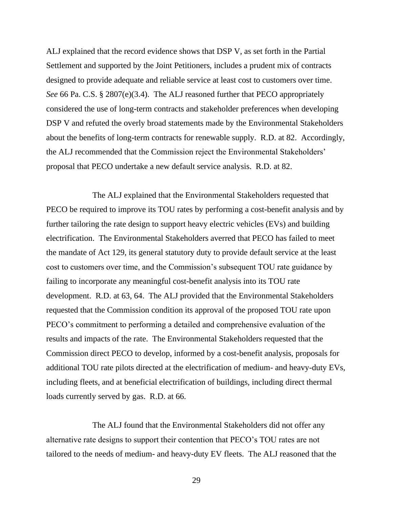ALJ explained that the record evidence shows that DSP V, as set forth in the Partial Settlement and supported by the Joint Petitioners, includes a prudent mix of contracts designed to provide adequate and reliable service at least cost to customers over time. *See* 66 Pa. C.S. § 2807(e)(3.4). The ALJ reasoned further that PECO appropriately considered the use of long-term contracts and stakeholder preferences when developing DSP V and refuted the overly broad statements made by the Environmental Stakeholders about the benefits of long-term contracts for renewable supply. R.D. at 82. Accordingly, the ALJ recommended that the Commission reject the Environmental Stakeholders' proposal that PECO undertake a new default service analysis. R.D. at 82.

The ALJ explained that the Environmental Stakeholders requested that PECO be required to improve its TOU rates by performing a cost-benefit analysis and by further tailoring the rate design to support heavy electric vehicles (EVs) and building electrification. The Environmental Stakeholders averred that PECO has failed to meet the mandate of Act 129, its general statutory duty to provide default service at the least cost to customers over time, and the Commission's subsequent TOU rate guidance by failing to incorporate any meaningful cost-benefit analysis into its TOU rate development. R.D. at 63, 64. The ALJ provided that the Environmental Stakeholders requested that the Commission condition its approval of the proposed TOU rate upon PECO's commitment to performing a detailed and comprehensive evaluation of the results and impacts of the rate. The Environmental Stakeholders requested that the Commission direct PECO to develop, informed by a cost-benefit analysis, proposals for additional TOU rate pilots directed at the electrification of medium- and heavy-duty EVs, including fleets, and at beneficial electrification of buildings, including direct thermal loads currently served by gas. R.D. at 66.

The ALJ found that the Environmental Stakeholders did not offer any alternative rate designs to support their contention that PECO's TOU rates are not tailored to the needs of medium- and heavy-duty EV fleets. The ALJ reasoned that the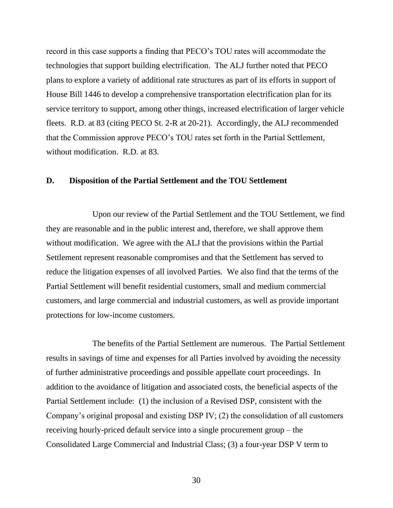record in this case supports a finding that PECO's TOU rates will accommodate the technologies that support building electrification. The ALJ further noted that PECO plans to explore a variety of additional rate structures as part of its efforts in support of House Bill 1446 to develop a comprehensive transportation electrification plan for its service territory to support, among other things, increased electrification of larger vehicle fleets. R.D. at 83 (citing PECO St. 2-R at 20-21). Accordingly, the ALJ recommended that the Commission approve PECO's TOU rates set forth in the Partial Settlement, without modification. R.D. at 83.

## <span id="page-32-0"></span>**D. Disposition of the Partial Settlement and the TOU Settlement**

Upon our review of the Partial Settlement and the TOU Settlement, we find they are reasonable and in the public interest and, therefore, we shall approve them without modification. We agree with the ALJ that the provisions within the Partial Settlement represent reasonable compromises and that the Settlement has served to reduce the litigation expenses of all involved Parties. We also find that the terms of the Partial Settlement will benefit residential customers, small and medium commercial customers, and large commercial and industrial customers, as well as provide important protections for low-income customers.

The benefits of the Partial Settlement are numerous. The Partial Settlement results in savings of time and expenses for all Parties involved by avoiding the necessity of further administrative proceedings and possible appellate court proceedings. In addition to the avoidance of litigation and associated costs, the beneficial aspects of the Partial Settlement include: (1) the inclusion of a Revised DSP, consistent with the Company's original proposal and existing DSP IV; (2) the consolidation of all customers receiving hourly-priced default service into a single procurement group – the Consolidated Large Commercial and Industrial Class; (3) a four-year DSP V term to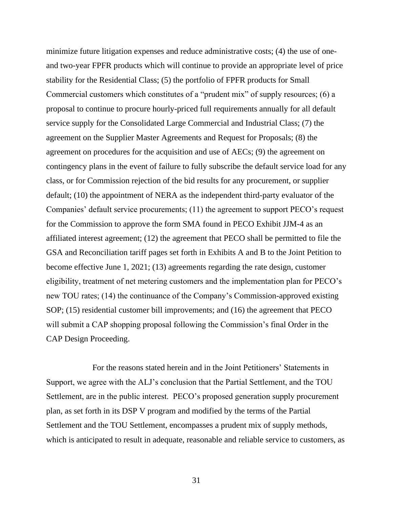minimize future litigation expenses and reduce administrative costs; (4) the use of oneand two-year FPFR products which will continue to provide an appropriate level of price stability for the Residential Class; (5) the portfolio of FPFR products for Small Commercial customers which constitutes of a "prudent mix" of supply resources; (6) a proposal to continue to procure hourly-priced full requirements annually for all default service supply for the Consolidated Large Commercial and Industrial Class; (7) the agreement on the Supplier Master Agreements and Request for Proposals; (8) the agreement on procedures for the acquisition and use of AECs; (9) the agreement on contingency plans in the event of failure to fully subscribe the default service load for any class, or for Commission rejection of the bid results for any procurement, or supplier default; (10) the appointment of NERA as the independent third-party evaluator of the Companies' default service procurements; (11) the agreement to support PECO's request for the Commission to approve the form SMA found in PECO Exhibit JJM-4 as an affiliated interest agreement; (12) the agreement that PECO shall be permitted to file the GSA and Reconciliation tariff pages set forth in Exhibits A and B to the Joint Petition to become effective June 1, 2021; (13) agreements regarding the rate design, customer eligibility, treatment of net metering customers and the implementation plan for PECO's new TOU rates; (14) the continuance of the Company's Commission-approved existing SOP; (15) residential customer bill improvements; and (16) the agreement that PECO will submit a CAP shopping proposal following the Commission's final Order in the CAP Design Proceeding.

For the reasons stated herein and in the Joint Petitioners' Statements in Support, we agree with the ALJ's conclusion that the Partial Settlement, and the TOU Settlement, are in the public interest. PECO's proposed generation supply procurement plan, as set forth in its DSP V program and modified by the terms of the Partial Settlement and the TOU Settlement, encompasses a prudent mix of supply methods, which is anticipated to result in adequate, reasonable and reliable service to customers, as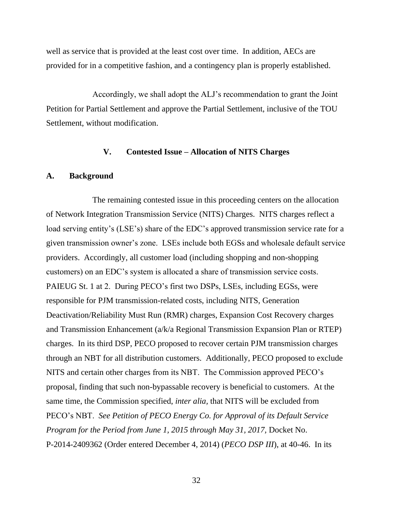well as service that is provided at the least cost over time. In addition, AECs are provided for in a competitive fashion, and a contingency plan is properly established.

Accordingly, we shall adopt the ALJ's recommendation to grant the Joint Petition for Partial Settlement and approve the Partial Settlement, inclusive of the TOU Settlement, without modification.

### **V. Contested Issue – Allocation of NITS Charges**

#### <span id="page-34-1"></span><span id="page-34-0"></span>**A. Background**

The remaining contested issue in this proceeding centers on the allocation of Network Integration Transmission Service (NITS) Charges. NITS charges reflect a load serving entity's (LSE's) share of the EDC's approved transmission service rate for a given transmission owner's zone. LSEs include both EGSs and wholesale default service providers. Accordingly, all customer load (including shopping and non-shopping customers) on an EDC's system is allocated a share of transmission service costs. PAIEUG St. 1 at 2. During PECO's first two DSPs, LSEs, including EGSs, were responsible for PJM transmission-related costs, including NITS, Generation Deactivation/Reliability Must Run (RMR) charges, Expansion Cost Recovery charges and Transmission Enhancement (a/k/a Regional Transmission Expansion Plan or RTEP) charges. In its third DSP, PECO proposed to recover certain PJM transmission charges through an NBT for all distribution customers. Additionally, PECO proposed to exclude NITS and certain other charges from its NBT. The Commission approved PECO's proposal, finding that such non-bypassable recovery is beneficial to customers. At the same time, the Commission specified, *inter alia,* that NITS will be excluded from PECO's NBT. *See Petition of PECO Energy Co. for Approval of its Default Service Program for the Period from June 1, 2015 through May 31, 2017,* Docket No. P-2014-2409362 (Order entered December 4, 2014) (*PECO DSP III*), at 40-46. In its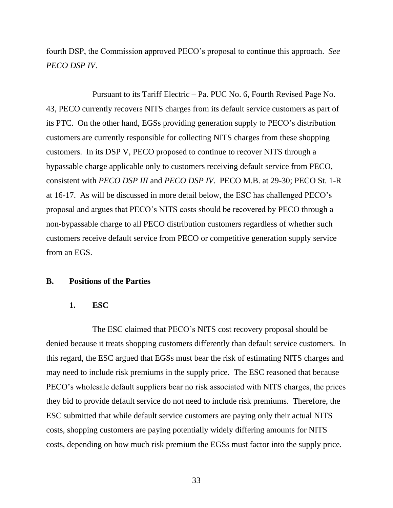fourth DSP, the Commission approved PECO's proposal to continue this approach. *See PECO DSP IV*.

Pursuant to its Tariff Electric – Pa. PUC No. 6, Fourth Revised Page No. 43, PECO currently recovers NITS charges from its default service customers as part of its PTC. On the other hand, EGSs providing generation supply to PECO's distribution customers are currently responsible for collecting NITS charges from these shopping customers. In its DSP V, PECO proposed to continue to recover NITS through a bypassable charge applicable only to customers receiving default service from PECO, consistent with *PECO DSP III* and *PECO DSP IV*. PECO M.B. at 29-30; PECO St. 1-R at 16-17. As will be discussed in more detail below, the ESC has challenged PECO's proposal and argues that PECO's NITS costs should be recovered by PECO through a non-bypassable charge to all PECO distribution customers regardless of whether such customers receive default service from PECO or competitive generation supply service from an EGS.

#### <span id="page-35-1"></span><span id="page-35-0"></span>**B. Positions of the Parties**

#### **1. ESC**

The ESC claimed that PECO's NITS cost recovery proposal should be denied because it treats shopping customers differently than default service customers. In this regard, the ESC argued that EGSs must bear the risk of estimating NITS charges and may need to include risk premiums in the supply price. The ESC reasoned that because PECO's wholesale default suppliers bear no risk associated with NITS charges, the prices they bid to provide default service do not need to include risk premiums. Therefore, the ESC submitted that while default service customers are paying only their actual NITS costs, shopping customers are paying potentially widely differing amounts for NITS costs, depending on how much risk premium the EGSs must factor into the supply price.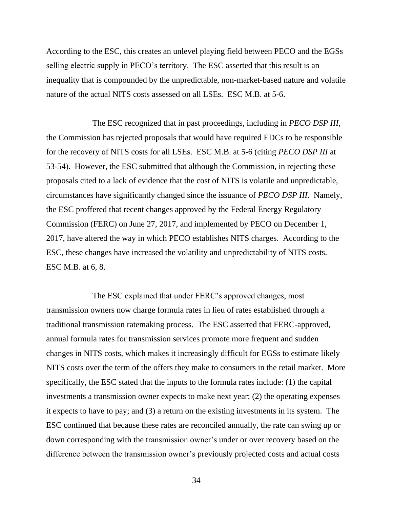According to the ESC, this creates an unlevel playing field between PECO and the EGSs selling electric supply in PECO's territory. The ESC asserted that this result is an inequality that is compounded by the unpredictable, non-market-based nature and volatile nature of the actual NITS costs assessed on all LSEs. ESC M.B. at 5-6.

The ESC recognized that in past proceedings, including in *PECO DSP III*, the Commission has rejected proposals that would have required EDCs to be responsible for the recovery of NITS costs for all LSEs. ESC M.B. at 5-6 (citing *PECO DSP III* at 53-54). However, the ESC submitted that although the Commission, in rejecting these proposals cited to a lack of evidence that the cost of NITS is volatile and unpredictable, circumstances have significantly changed since the issuance of *PECO DSP III*. Namely, the ESC proffered that recent changes approved by the Federal Energy Regulatory Commission (FERC) on June 27, 2017, and implemented by PECO on December 1, 2017, have altered the way in which PECO establishes NITS charges. According to the ESC, these changes have increased the volatility and unpredictability of NITS costs. ESC M.B. at 6, 8.

The ESC explained that under FERC's approved changes, most transmission owners now charge formula rates in lieu of rates established through a traditional transmission ratemaking process. The ESC asserted that FERC-approved, annual formula rates for transmission services promote more frequent and sudden changes in NITS costs, which makes it increasingly difficult for EGSs to estimate likely NITS costs over the term of the offers they make to consumers in the retail market. More specifically, the ESC stated that the inputs to the formula rates include: (1) the capital investments a transmission owner expects to make next year; (2) the operating expenses it expects to have to pay; and (3) a return on the existing investments in its system. The ESC continued that because these rates are reconciled annually, the rate can swing up or down corresponding with the transmission owner's under or over recovery based on the difference between the transmission owner's previously projected costs and actual costs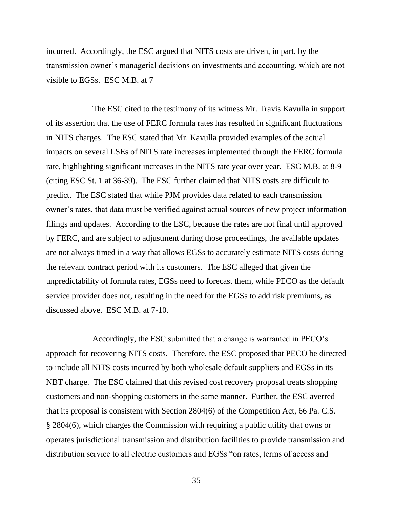incurred. Accordingly, the ESC argued that NITS costs are driven, in part, by the transmission owner's managerial decisions on investments and accounting, which are not visible to EGSs. ESC M.B. at 7

The ESC cited to the testimony of its witness Mr. Travis Kavulla in support of its assertion that the use of FERC formula rates has resulted in significant fluctuations in NITS charges. The ESC stated that Mr. Kavulla provided examples of the actual impacts on several LSEs of NITS rate increases implemented through the FERC formula rate, highlighting significant increases in the NITS rate year over year. ESC M.B. at 8-9 (citing ESC St. 1 at 36-39). The ESC further claimed that NITS costs are difficult to predict. The ESC stated that while PJM provides data related to each transmission owner's rates, that data must be verified against actual sources of new project information filings and updates. According to the ESC, because the rates are not final until approved by FERC, and are subject to adjustment during those proceedings, the available updates are not always timed in a way that allows EGSs to accurately estimate NITS costs during the relevant contract period with its customers. The ESC alleged that given the unpredictability of formula rates, EGSs need to forecast them, while PECO as the default service provider does not, resulting in the need for the EGSs to add risk premiums, as discussed above. ESC M.B. at 7-10.

Accordingly, the ESC submitted that a change is warranted in PECO's approach for recovering NITS costs. Therefore, the ESC proposed that PECO be directed to include all NITS costs incurred by both wholesale default suppliers and EGSs in its NBT charge. The ESC claimed that this revised cost recovery proposal treats shopping customers and non-shopping customers in the same manner. Further, the ESC averred that its proposal is consistent with Section 2804(6) of the Competition Act, 66 Pa. C.S. § 2804(6), which charges the Commission with requiring a public utility that owns or operates jurisdictional transmission and distribution facilities to provide transmission and distribution service to all electric customers and EGSs "on rates, terms of access and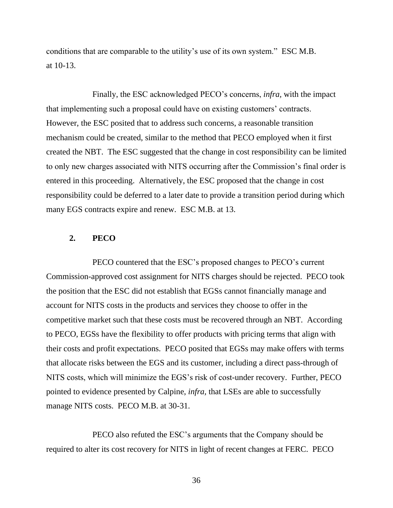conditions that are comparable to the utility's use of its own system." ESC M.B. at 10-13.

Finally, the ESC acknowledged PECO's concerns, *infra,* with the impact that implementing such a proposal could have on existing customers' contracts. However, the ESC posited that to address such concerns, a reasonable transition mechanism could be created, similar to the method that PECO employed when it first created the NBT. The ESC suggested that the change in cost responsibility can be limited to only new charges associated with NITS occurring after the Commission's final order is entered in this proceeding. Alternatively, the ESC proposed that the change in cost responsibility could be deferred to a later date to provide a transition period during which many EGS contracts expire and renew. ESC M.B. at 13.

#### <span id="page-38-0"></span>**2. PECO**

PECO countered that the ESC's proposed changes to PECO's current Commission-approved cost assignment for NITS charges should be rejected. PECO took the position that the ESC did not establish that EGSs cannot financially manage and account for NITS costs in the products and services they choose to offer in the competitive market such that these costs must be recovered through an NBT. According to PECO, EGSs have the flexibility to offer products with pricing terms that align with their costs and profit expectations. PECO posited that EGSs may make offers with terms that allocate risks between the EGS and its customer, including a direct pass-through of NITS costs, which will minimize the EGS's risk of cost-under recovery. Further, PECO pointed to evidence presented by Calpine, *infra,* that LSEs are able to successfully manage NITS costs. PECO M.B. at 30-31.

PECO also refuted the ESC's arguments that the Company should be required to alter its cost recovery for NITS in light of recent changes at FERC. PECO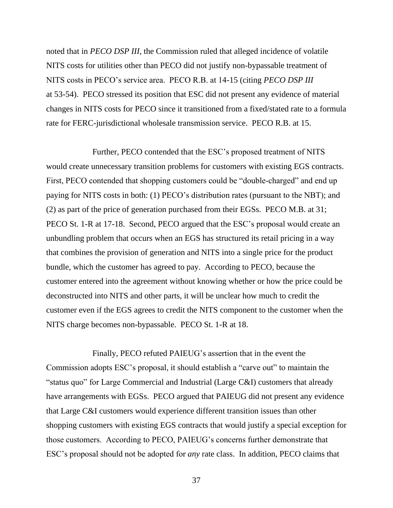noted that in *PECO DSP III*, the Commission ruled that alleged incidence of volatile NITS costs for utilities other than PECO did not justify non-bypassable treatment of NITS costs in PECO's service area. PECO R.B. at 14-15 (citing *PECO DSP III* at 53-54). PECO stressed its position that ESC did not present any evidence of material changes in NITS costs for PECO since it transitioned from a fixed/stated rate to a formula rate for FERC-jurisdictional wholesale transmission service. PECO R.B. at 15.

Further, PECO contended that the ESC's proposed treatment of NITS would create unnecessary transition problems for customers with existing EGS contracts. First, PECO contended that shopping customers could be "double-charged" and end up paying for NITS costs in both: (1) PECO's distribution rates (pursuant to the NBT); and (2) as part of the price of generation purchased from their EGSs. PECO M.B. at 31; PECO St. 1-R at 17-18. Second, PECO argued that the ESC's proposal would create an unbundling problem that occurs when an EGS has structured its retail pricing in a way that combines the provision of generation and NITS into a single price for the product bundle, which the customer has agreed to pay. According to PECO, because the customer entered into the agreement without knowing whether or how the price could be deconstructed into NITS and other parts, it will be unclear how much to credit the customer even if the EGS agrees to credit the NITS component to the customer when the NITS charge becomes non-bypassable. PECO St. 1-R at 18.

Finally, PECO refuted PAIEUG's assertion that in the event the Commission adopts ESC's proposal, it should establish a "carve out" to maintain the "status quo" for Large Commercial and Industrial (Large C&I) customers that already have arrangements with EGSs. PECO argued that PAIEUG did not present any evidence that Large C&I customers would experience different transition issues than other shopping customers with existing EGS contracts that would justify a special exception for those customers. According to PECO, PAIEUG's concerns further demonstrate that ESC's proposal should not be adopted for *any* rate class. In addition, PECO claims that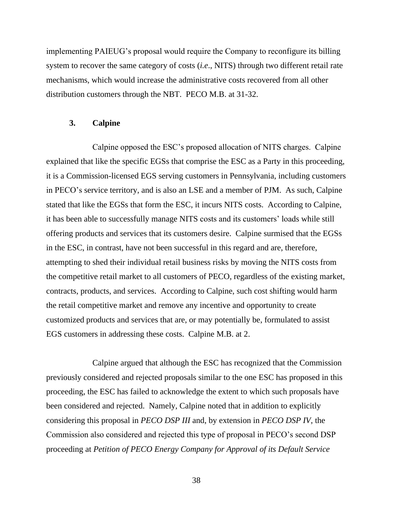implementing PAIEUG's proposal would require the Company to reconfigure its billing system to recover the same category of costs (*i.e*., NITS) through two different retail rate mechanisms, which would increase the administrative costs recovered from all other distribution customers through the NBT. PECO M.B. at 31-32.

#### <span id="page-40-0"></span>**3. Calpine**

Calpine opposed the ESC's proposed allocation of NITS charges. Calpine explained that like the specific EGSs that comprise the ESC as a Party in this proceeding, it is a Commission-licensed EGS serving customers in Pennsylvania, including customers in PECO's service territory, and is also an LSE and a member of PJM. As such, Calpine stated that like the EGSs that form the ESC, it incurs NITS costs. According to Calpine, it has been able to successfully manage NITS costs and its customers' loads while still offering products and services that its customers desire. Calpine surmised that the EGSs in the ESC, in contrast, have not been successful in this regard and are, therefore, attempting to shed their individual retail business risks by moving the NITS costs from the competitive retail market to all customers of PECO, regardless of the existing market, contracts, products, and services. According to Calpine, such cost shifting would harm the retail competitive market and remove any incentive and opportunity to create customized products and services that are, or may potentially be, formulated to assist EGS customers in addressing these costs. Calpine M.B. at 2.

Calpine argued that although the ESC has recognized that the Commission previously considered and rejected proposals similar to the one ESC has proposed in this proceeding, the ESC has failed to acknowledge the extent to which such proposals have been considered and rejected. Namely, Calpine noted that in addition to explicitly considering this proposal in *PECO DSP III* and, by extension in *PECO DSP IV*, the Commission also considered and rejected this type of proposal in PECO's second DSP proceeding at *Petition of PECO Energy Company for Approval of its Default Service*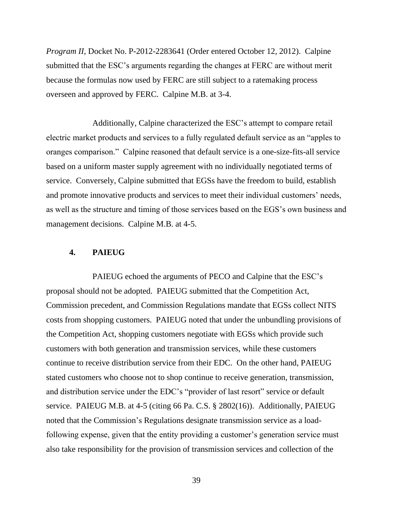*Program II*, Docket No. P-2012-2283641 (Order entered October 12, 2012). Calpine submitted that the ESC's arguments regarding the changes at FERC are without merit because the formulas now used by FERC are still subject to a ratemaking process overseen and approved by FERC. Calpine M.B. at 3-4.

Additionally, Calpine characterized the ESC's attempt to compare retail electric market products and services to a fully regulated default service as an "apples to oranges comparison." Calpine reasoned that default service is a one-size-fits-all service based on a uniform master supply agreement with no individually negotiated terms of service. Conversely, Calpine submitted that EGSs have the freedom to build, establish and promote innovative products and services to meet their individual customers' needs, as well as the structure and timing of those services based on the EGS's own business and management decisions. Calpine M.B. at 4-5.

#### <span id="page-41-0"></span>**4. PAIEUG**

PAIEUG echoed the arguments of PECO and Calpine that the ESC's proposal should not be adopted. PAIEUG submitted that the Competition Act, Commission precedent, and Commission Regulations mandate that EGSs collect NITS costs from shopping customers. PAIEUG noted that under the unbundling provisions of the Competition Act, shopping customers negotiate with EGSs which provide such customers with both generation and transmission services, while these customers continue to receive distribution service from their EDC. On the other hand, PAIEUG stated customers who choose not to shop continue to receive generation, transmission, and distribution service under the EDC's "provider of last resort" service or default service. PAIEUG M.B. at 4-5 (citing 66 Pa. C.S. § 2802(16)). Additionally, PAIEUG noted that the Commission's Regulations designate transmission service as a loadfollowing expense, given that the entity providing a customer's generation service must also take responsibility for the provision of transmission services and collection of the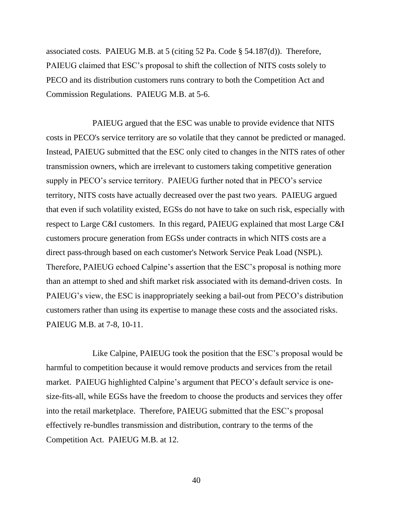associated costs. PAIEUG M.B. at 5 (citing 52 Pa. Code § 54.187(d)). Therefore, PAIEUG claimed that ESC's proposal to shift the collection of NITS costs solely to PECO and its distribution customers runs contrary to both the Competition Act and Commission Regulations. PAIEUG M.B. at 5-6.

PAIEUG argued that the ESC was unable to provide evidence that NITS costs in PECO's service territory are so volatile that they cannot be predicted or managed. Instead, PAIEUG submitted that the ESC only cited to changes in the NITS rates of other transmission owners, which are irrelevant to customers taking competitive generation supply in PECO's service territory. PAIEUG further noted that in PECO's service territory, NITS costs have actually decreased over the past two years. PAIEUG argued that even if such volatility existed, EGSs do not have to take on such risk, especially with respect to Large C&I customers. In this regard, PAIEUG explained that most Large C&I customers procure generation from EGSs under contracts in which NITS costs are a direct pass-through based on each customer's Network Service Peak Load (NSPL). Therefore, PAIEUG echoed Calpine's assertion that the ESC's proposal is nothing more than an attempt to shed and shift market risk associated with its demand-driven costs. In PAIEUG's view, the ESC is inappropriately seeking a bail-out from PECO's distribution customers rather than using its expertise to manage these costs and the associated risks. PAIEUG M.B. at 7-8, 10-11.

Like Calpine, PAIEUG took the position that the ESC's proposal would be harmful to competition because it would remove products and services from the retail market. PAIEUG highlighted Calpine's argument that PECO's default service is onesize-fits-all, while EGSs have the freedom to choose the products and services they offer into the retail marketplace. Therefore, PAIEUG submitted that the ESC's proposal effectively re-bundles transmission and distribution, contrary to the terms of the Competition Act. PAIEUG M.B. at 12.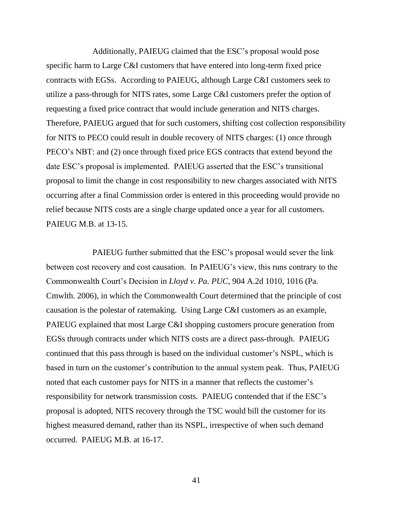Additionally, PAIEUG claimed that the ESC's proposal would pose specific harm to Large C&I customers that have entered into long-term fixed price contracts with EGSs. According to PAIEUG, although Large C&I customers seek to utilize a pass-through for NITS rates, some Large C&I customers prefer the option of requesting a fixed price contract that would include generation and NITS charges. Therefore, PAIEUG argued that for such customers, shifting cost collection responsibility for NITS to PECO could result in double recovery of NITS charges: (1) once through PECO's NBT: and (2) once through fixed price EGS contracts that extend beyond the date ESC's proposal is implemented. PAIEUG asserted that the ESC's transitional proposal to limit the change in cost responsibility to new charges associated with NITS occurring after a final Commission order is entered in this proceeding would provide no relief because NITS costs are a single charge updated once a year for all customers. PAIEUG M.B. at 13-15.

PAIEUG further submitted that the ESC's proposal would sever the link between cost recovery and cost causation. In PAIEUG's view, this runs contrary to the Commonwealth Court's Decision in *Lloyd v. Pa. PUC*, 904 A.2d 1010, 1016 (Pa. Cmwlth. 2006), in which the Commonwealth Court determined that the principle of cost causation is the polestar of ratemaking. Using Large C&I customers as an example, PAIEUG explained that most Large C&I shopping customers procure generation from EGSs through contracts under which NITS costs are a direct pass-through. PAIEUG continued that this pass through is based on the individual customer's NSPL, which is based in turn on the customer's contribution to the annual system peak. Thus, PAIEUG noted that each customer pays for NITS in a manner that reflects the customer's responsibility for network transmission costs. PAIEUG contended that if the ESC's proposal is adopted, NITS recovery through the TSC would bill the customer for its highest measured demand, rather than its NSPL, irrespective of when such demand occurred. PAIEUG M.B. at 16-17.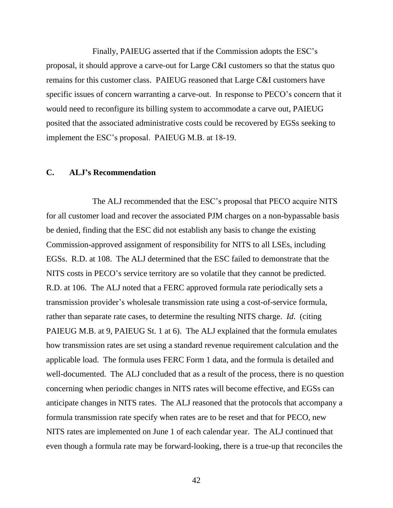Finally, PAIEUG asserted that if the Commission adopts the ESC's proposal, it should approve a carve-out for Large C&I customers so that the status quo remains for this customer class. PAIEUG reasoned that Large C&I customers have specific issues of concern warranting a carve-out. In response to PECO's concern that it would need to reconfigure its billing system to accommodate a carve out, PAIEUG posited that the associated administrative costs could be recovered by EGSs seeking to implement the ESC's proposal. PAIEUG M.B. at 18-19.

### <span id="page-44-0"></span>**C. ALJ's Recommendation**

The ALJ recommended that the ESC's proposal that PECO acquire NITS for all customer load and recover the associated PJM charges on a non-bypassable basis be denied, finding that the ESC did not establish any basis to change the existing Commission-approved assignment of responsibility for NITS to all LSEs, including EGSs. R.D. at 108. The ALJ determined that the ESC failed to demonstrate that the NITS costs in PECO's service territory are so volatile that they cannot be predicted. R.D. at 106. The ALJ noted that a FERC approved formula rate periodically sets a transmission provider's wholesale transmission rate using a cost-of-service formula, rather than separate rate cases, to determine the resulting NITS charge. *Id*. (citing PAIEUG M.B. at 9, PAIEUG St. 1 at 6). The ALJ explained that the formula emulates how transmission rates are set using a standard revenue requirement calculation and the applicable load. The formula uses FERC Form 1 data, and the formula is detailed and well-documented. The ALJ concluded that as a result of the process, there is no question concerning when periodic changes in NITS rates will become effective, and EGSs can anticipate changes in NITS rates. The ALJ reasoned that the protocols that accompany a formula transmission rate specify when rates are to be reset and that for PECO, new NITS rates are implemented on June 1 of each calendar year. The ALJ continued that even though a formula rate may be forward-looking, there is a true-up that reconciles the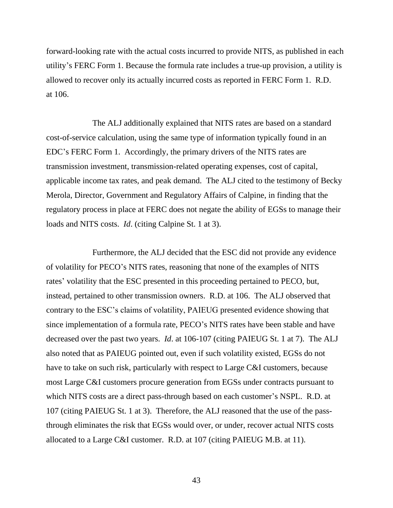forward-looking rate with the actual costs incurred to provide NITS, as published in each utility's FERC Form 1. Because the formula rate includes a true-up provision, a utility is allowed to recover only its actually incurred costs as reported in FERC Form 1. R.D. at 106.

The ALJ additionally explained that NITS rates are based on a standard cost-of-service calculation, using the same type of information typically found in an EDC's FERC Form 1. Accordingly, the primary drivers of the NITS rates are transmission investment, transmission-related operating expenses, cost of capital, applicable income tax rates, and peak demand. The ALJ cited to the testimony of Becky Merola, Director, Government and Regulatory Affairs of Calpine, in finding that the regulatory process in place at FERC does not negate the ability of EGSs to manage their loads and NITS costs. *Id*. (citing Calpine St. 1 at 3).

Furthermore, the ALJ decided that the ESC did not provide any evidence of volatility for PECO's NITS rates, reasoning that none of the examples of NITS rates' volatility that the ESC presented in this proceeding pertained to PECO, but, instead, pertained to other transmission owners. R.D. at 106. The ALJ observed that contrary to the ESC's claims of volatility, PAIEUG presented evidence showing that since implementation of a formula rate, PECO's NITS rates have been stable and have decreased over the past two years. *Id*. at 106-107 (citing PAIEUG St. 1 at 7). The ALJ also noted that as PAIEUG pointed out, even if such volatility existed, EGSs do not have to take on such risk, particularly with respect to Large C&I customers, because most Large C&I customers procure generation from EGSs under contracts pursuant to which NITS costs are a direct pass-through based on each customer's NSPL. R.D. at 107 (citing PAIEUG St. 1 at 3). Therefore, the ALJ reasoned that the use of the passthrough eliminates the risk that EGSs would over, or under, recover actual NITS costs allocated to a Large C&I customer. R.D. at 107 (citing PAIEUG M.B. at 11).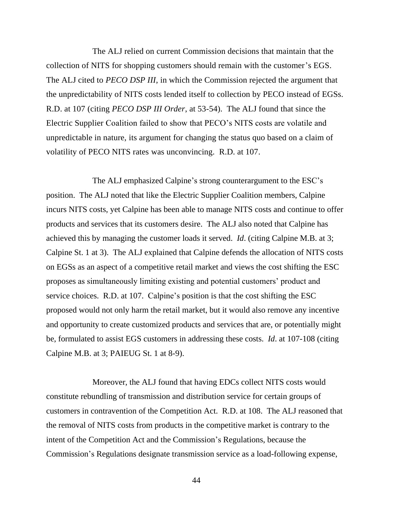The ALJ relied on current Commission decisions that maintain that the collection of NITS for shopping customers should remain with the customer's EGS. The ALJ cited to *PECO DSP III*, in which the Commission rejected the argument that the unpredictability of NITS costs lended itself to collection by PECO instead of EGSs. R.D. at 107 (citing *PECO DSP III Order*, at 53-54). The ALJ found that since the Electric Supplier Coalition failed to show that PECO's NITS costs are volatile and unpredictable in nature, its argument for changing the status quo based on a claim of volatility of PECO NITS rates was unconvincing. R.D. at 107.

The ALJ emphasized Calpine's strong counterargument to the ESC's position. The ALJ noted that like the Electric Supplier Coalition members, Calpine incurs NITS costs, yet Calpine has been able to manage NITS costs and continue to offer products and services that its customers desire. The ALJ also noted that Calpine has achieved this by managing the customer loads it served. *Id*. (citing Calpine M.B. at 3; Calpine St. 1 at 3). The ALJ explained that Calpine defends the allocation of NITS costs on EGSs as an aspect of a competitive retail market and views the cost shifting the ESC proposes as simultaneously limiting existing and potential customers' product and service choices. R.D. at 107. Calpine's position is that the cost shifting the ESC proposed would not only harm the retail market, but it would also remove any incentive and opportunity to create customized products and services that are, or potentially might be, formulated to assist EGS customers in addressing these costs. *Id*. at 107-108 (citing Calpine M.B. at 3; PAIEUG St. 1 at 8-9).

Moreover, the ALJ found that having EDCs collect NITS costs would constitute rebundling of transmission and distribution service for certain groups of customers in contravention of the Competition Act. R.D. at 108. The ALJ reasoned that the removal of NITS costs from products in the competitive market is contrary to the intent of the Competition Act and the Commission's Regulations, because the Commission's Regulations designate transmission service as a load-following expense,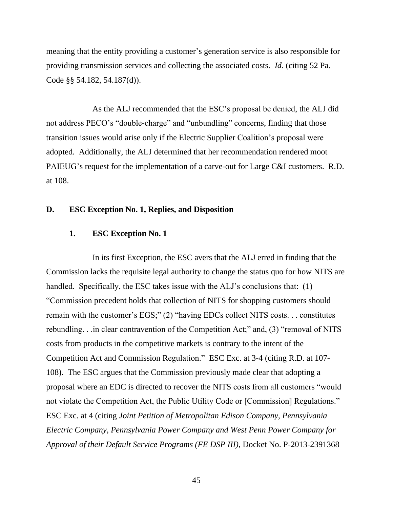meaning that the entity providing a customer's generation service is also responsible for providing transmission services and collecting the associated costs. *Id*. (citing 52 Pa. Code §§ 54.182, 54.187(d)).

As the ALJ recommended that the ESC's proposal be denied, the ALJ did not address PECO's "double-charge" and "unbundling" concerns, finding that those transition issues would arise only if the Electric Supplier Coalition's proposal were adopted. Additionally, the ALJ determined that her recommendation rendered moot PAIEUG's request for the implementation of a carve-out for Large C&I customers. R.D. at 108.

## <span id="page-47-1"></span><span id="page-47-0"></span>**D. ESC Exception No. 1, Replies, and Disposition**

## **1. ESC Exception No. 1**

In its first Exception, the ESC avers that the ALJ erred in finding that the Commission lacks the requisite legal authority to change the status quo for how NITS are handled. Specifically, the ESC takes issue with the ALJ's conclusions that: (1) "Commission precedent holds that collection of NITS for shopping customers should remain with the customer's EGS;" (2) "having EDCs collect NITS costs. . . constitutes rebundling. . .in clear contravention of the Competition Act;" and, (3) "removal of NITS costs from products in the competitive markets is contrary to the intent of the Competition Act and Commission Regulation." ESC Exc. at 3-4 (citing R.D. at 107- 108). The ESC argues that the Commission previously made clear that adopting a proposal where an EDC is directed to recover the NITS costs from all customers "would not violate the Competition Act, the Public Utility Code or [Commission] Regulations." ESC Exc. at 4 (citing *Joint Petition of Metropolitan Edison Company, Pennsylvania Electric Company, Pennsylvania Power Company and West Penn Power Company for Approval of their Default Service Programs (FE DSP III)*, Docket No. P-2013-2391368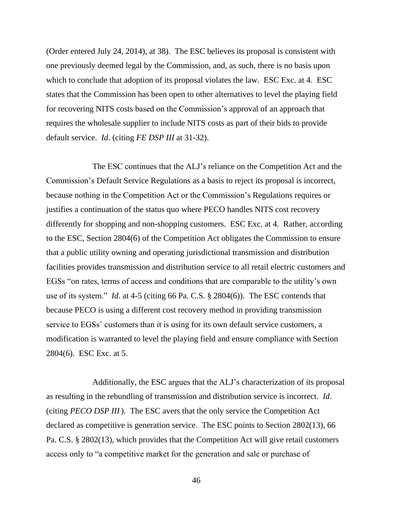(Order entered July 24, 2014), at 38). The ESC believes its proposal is consistent with one previously deemed legal by the Commission, and, as such, there is no basis upon which to conclude that adoption of its proposal violates the law. ESC Exc. at 4. ESC states that the Commission has been open to other alternatives to level the playing field for recovering NITS costs based on the Commission's approval of an approach that requires the wholesale supplier to include NITS costs as part of their bids to provide default service. *Id*. (citing *FE DSP III* at 31-32).

The ESC continues that the ALJ's reliance on the Competition Act and the Commission's Default Service Regulations as a basis to reject its proposal is incorrect, because nothing in the Competition Act or the Commission's Regulations requires or justifies a continuation of the status quo where PECO handles NITS cost recovery differently for shopping and non-shopping customers. ESC Exc. at 4. Rather, according to the ESC, Section 2804(6) of the Competition Act obligates the Commission to ensure that a public utility owning and operating jurisdictional transmission and distribution facilities provides transmission and distribution service to all retail electric customers and EGSs "on rates, terms of access and conditions that are comparable to the utility's own use of its system." *Id*. at 4-5 (citing 66 Pa. C.S. § 2804(6)). The ESC contends that because PECO is using a different cost recovery method in providing transmission service to EGSs' customers than it is using for its own default service customers, a modification is warranted to level the playing field and ensure compliance with Section 2804(6). ESC Exc. at 5.

Additionally, the ESC argues that the ALJ's characterization of its proposal as resulting in the rebundling of transmission and distribution service is incorrect. *Id*. (citing *PECO DSP III*). The ESC avers that the only service the Competition Act declared as competitive is generation service. The ESC points to Section 2802(13), 66 Pa. C.S. § 2802(13), which provides that the Competition Act will give retail customers access only to "a competitive market for the generation and sale or purchase of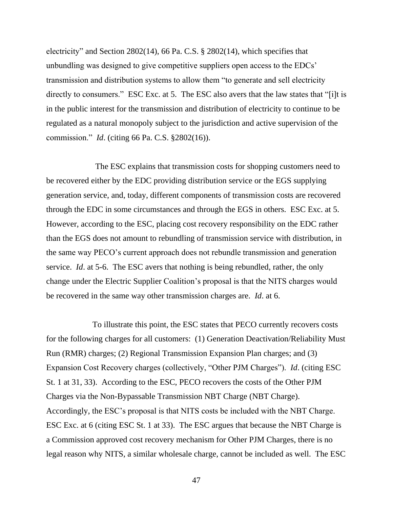electricity" and Section 2802(14), 66 Pa. C.S. § 2802(14), which specifies that unbundling was designed to give competitive suppliers open access to the EDCs' transmission and distribution systems to allow them "to generate and sell electricity directly to consumers." ESC Exc. at 5. The ESC also avers that the law states that "[i]t is in the public interest for the transmission and distribution of electricity to continue to be regulated as a natural monopoly subject to the jurisdiction and active supervision of the commission." *Id*. (citing 66 Pa. C.S. §2802(16)).

The ESC explains that transmission costs for shopping customers need to be recovered either by the EDC providing distribution service or the EGS supplying generation service, and, today, different components of transmission costs are recovered through the EDC in some circumstances and through the EGS in others. ESC Exc. at 5. However, according to the ESC, placing cost recovery responsibility on the EDC rather than the EGS does not amount to rebundling of transmission service with distribution, in the same way PECO's current approach does not rebundle transmission and generation service. *Id*. at 5-6. The ESC avers that nothing is being rebundled, rather, the only change under the Electric Supplier Coalition's proposal is that the NITS charges would be recovered in the same way other transmission charges are. *Id*. at 6.

To illustrate this point, the ESC states that PECO currently recovers costs for the following charges for all customers: (1) Generation Deactivation/Reliability Must Run (RMR) charges; (2) Regional Transmission Expansion Plan charges; and (3) Expansion Cost Recovery charges (collectively, "Other PJM Charges"). *Id*. (citing ESC St. 1 at 31, 33). According to the ESC, PECO recovers the costs of the Other PJM Charges via the Non-Bypassable Transmission NBT Charge (NBT Charge). Accordingly, the ESC's proposal is that NITS costs be included with the NBT Charge. ESC Exc. at 6 (citing ESC St. 1 at 33). The ESC argues that because the NBT Charge is a Commission approved cost recovery mechanism for Other PJM Charges, there is no legal reason why NITS, a similar wholesale charge, cannot be included as well. The ESC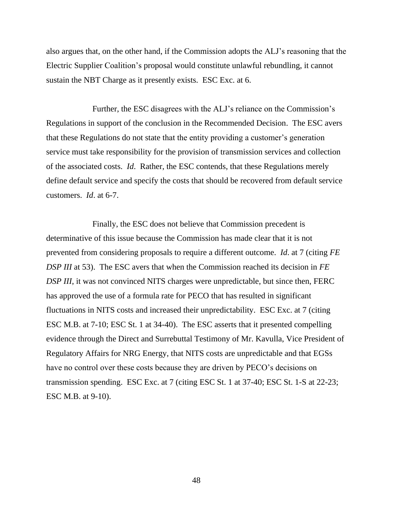also argues that, on the other hand, if the Commission adopts the ALJ's reasoning that the Electric Supplier Coalition's proposal would constitute unlawful rebundling, it cannot sustain the NBT Charge as it presently exists. ESC Exc. at 6.

Further, the ESC disagrees with the ALJ's reliance on the Commission's Regulations in support of the conclusion in the Recommended Decision. The ESC avers that these Regulations do not state that the entity providing a customer's generation service must take responsibility for the provision of transmission services and collection of the associated costs. *Id*. Rather, the ESC contends, that these Regulations merely define default service and specify the costs that should be recovered from default service customers. *Id*. at 6-7.

Finally, the ESC does not believe that Commission precedent is determinative of this issue because the Commission has made clear that it is not prevented from considering proposals to require a different outcome. *Id*. at 7 (citing *FE DSP III* at 53). The ESC avers that when the Commission reached its decision in *FE DSP III*, it was not convinced NITS charges were unpredictable, but since then, FERC has approved the use of a formula rate for PECO that has resulted in significant fluctuations in NITS costs and increased their unpredictability. ESC Exc. at 7 (citing ESC M.B. at 7-10; ESC St. 1 at 34-40). The ESC asserts that it presented compelling evidence through the Direct and Surrebuttal Testimony of Mr. Kavulla, Vice President of Regulatory Affairs for NRG Energy, that NITS costs are unpredictable and that EGSs have no control over these costs because they are driven by PECO's decisions on transmission spending. ESC Exc. at 7 (citing ESC St. 1 at 37-40; ESC St. 1-S at 22-23; ESC M.B. at 9-10).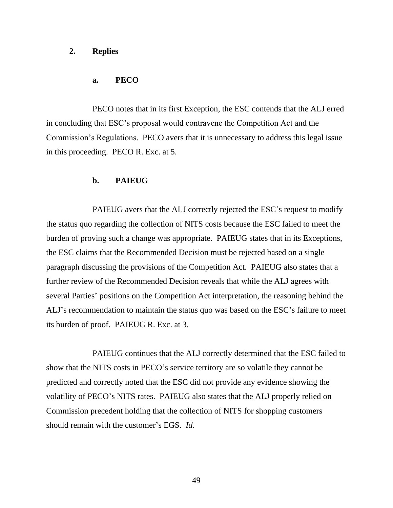### <span id="page-51-0"></span>**2. Replies**

#### **a. PECO**

PECO notes that in its first Exception, the ESC contends that the ALJ erred in concluding that ESC's proposal would contravene the Competition Act and the Commission's Regulations. PECO avers that it is unnecessary to address this legal issue in this proceeding. PECO R. Exc. at 5.

## **b. PAIEUG**

PAIEUG avers that the ALJ correctly rejected the ESC's request to modify the status quo regarding the collection of NITS costs because the ESC failed to meet the burden of proving such a change was appropriate. PAIEUG states that in its Exceptions, the ESC claims that the Recommended Decision must be rejected based on a single paragraph discussing the provisions of the Competition Act. PAIEUG also states that a further review of the Recommended Decision reveals that while the ALJ agrees with several Parties' positions on the Competition Act interpretation, the reasoning behind the ALJ's recommendation to maintain the status quo was based on the ESC's failure to meet its burden of proof. PAIEUG R. Exc. at 3.

PAIEUG continues that the ALJ correctly determined that the ESC failed to show that the NITS costs in PECO's service territory are so volatile they cannot be predicted and correctly noted that the ESC did not provide any evidence showing the volatility of PECO's NITS rates. PAIEUG also states that the ALJ properly relied on Commission precedent holding that the collection of NITS for shopping customers should remain with the customer's EGS. *Id*.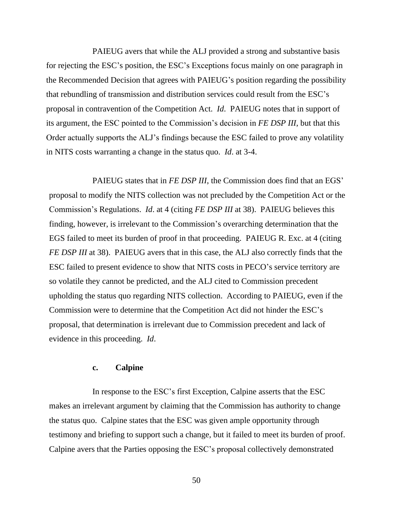PAIEUG avers that while the ALJ provided a strong and substantive basis for rejecting the ESC's position, the ESC's Exceptions focus mainly on one paragraph in the Recommended Decision that agrees with PAIEUG's position regarding the possibility that rebundling of transmission and distribution services could result from the ESC's proposal in contravention of the Competition Act. *Id*. PAIEUG notes that in support of its argument, the ESC pointed to the Commission's decision in *FE DSP III*, but that this Order actually supports the ALJ's findings because the ESC failed to prove any volatility in NITS costs warranting a change in the status quo. *Id*. at 3-4.

PAIEUG states that in *FE DSP III*, the Commission does find that an EGS' proposal to modify the NITS collection was not precluded by the Competition Act or the Commission's Regulations. *Id*. at 4 (citing *FE DSP III* at 38). PAIEUG believes this finding, however, is irrelevant to the Commission's overarching determination that the EGS failed to meet its burden of proof in that proceeding. PAIEUG R. Exc. at 4 (citing *FE DSP III* at 38). PAIEUG avers that in this case, the ALJ also correctly finds that the ESC failed to present evidence to show that NITS costs in PECO's service territory are so volatile they cannot be predicted, and the ALJ cited to Commission precedent upholding the status quo regarding NITS collection. According to PAIEUG, even if the Commission were to determine that the Competition Act did not hinder the ESC's proposal, that determination is irrelevant due to Commission precedent and lack of evidence in this proceeding. *Id*.

### **c. Calpine**

In response to the ESC's first Exception, Calpine asserts that the ESC makes an irrelevant argument by claiming that the Commission has authority to change the status quo. Calpine states that the ESC was given ample opportunity through testimony and briefing to support such a change, but it failed to meet its burden of proof. Calpine avers that the Parties opposing the ESC's proposal collectively demonstrated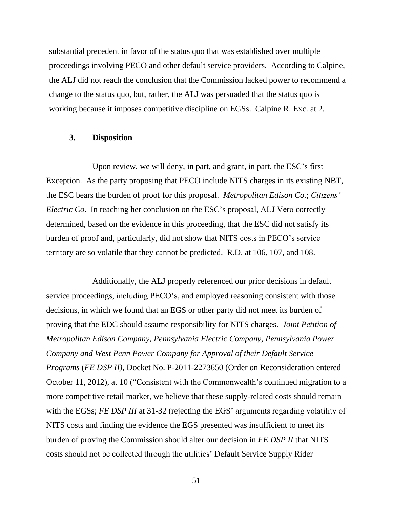substantial precedent in favor of the status quo that was established over multiple proceedings involving PECO and other default service providers. According to Calpine, the ALJ did not reach the conclusion that the Commission lacked power to recommend a change to the status quo, but, rather, the ALJ was persuaded that the status quo is working because it imposes competitive discipline on EGSs. Calpine R. Exc. at 2.

### <span id="page-53-0"></span>**3. Disposition**

Upon review, we will deny, in part, and grant, in part, the ESC's first Exception. As the party proposing that PECO include NITS charges in its existing NBT, the ESC bears the burden of proof for this proposal. *Metropolitan Edison Co.*; *Citizens' Electric Co*. In reaching her conclusion on the ESC's proposal, ALJ Vero correctly determined, based on the evidence in this proceeding, that the ESC did not satisfy its burden of proof and, particularly, did not show that NITS costs in PECO's service territory are so volatile that they cannot be predicted. R.D. at 106, 107, and 108.

Additionally, the ALJ properly referenced our prior decisions in default service proceedings, including PECO's, and employed reasoning consistent with those decisions, in which we found that an EGS or other party did not meet its burden of proving that the EDC should assume responsibility for NITS charges. *Joint Petition of Metropolitan Edison Company, Pennsylvania Electric Company, Pennsylvania Power Company and West Penn Power Company for Approval of their Default Service Programs* (*FE DSP II)*, Docket No. P-2011-2273650 (Order on Reconsideration entered October 11, 2012), at 10 ("Consistent with the Commonwealth's continued migration to a more competitive retail market, we believe that these supply-related costs should remain with the EGSs; *FE DSP III* at 31-32 (rejecting the EGS' arguments regarding volatility of NITS costs and finding the evidence the EGS presented was insufficient to meet its burden of proving the Commission should alter our decision in *FE DSP II* that NITS costs should not be collected through the utilities' Default Service Supply Rider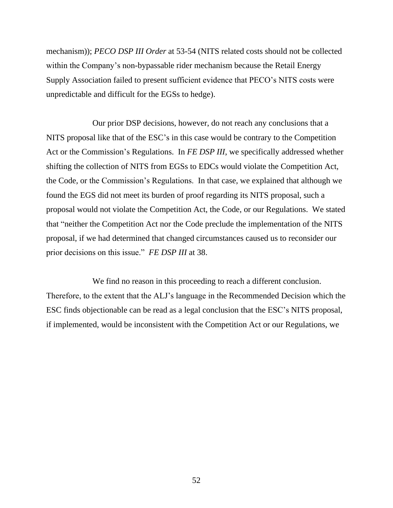mechanism)); *PECO DSP III Order* at 53-54 (NITS related costs should not be collected within the Company's non-bypassable rider mechanism because the Retail Energy Supply Association failed to present sufficient evidence that PECO's NITS costs were unpredictable and difficult for the EGSs to hedge).

Our prior DSP decisions, however, do not reach any conclusions that a NITS proposal like that of the ESC's in this case would be contrary to the Competition Act or the Commission's Regulations. In *FE DSP III*, we specifically addressed whether shifting the collection of NITS from EGSs to EDCs would violate the Competition Act, the Code, or the Commission's Regulations. In that case, we explained that although we found the EGS did not meet its burden of proof regarding its NITS proposal, such a proposal would not violate the Competition Act, the Code, or our Regulations. We stated that "neither the Competition Act nor the Code preclude the implementation of the NITS proposal, if we had determined that changed circumstances caused us to reconsider our prior decisions on this issue." *FE DSP III* at 38.

We find no reason in this proceeding to reach a different conclusion. Therefore, to the extent that the ALJ's language in the Recommended Decision which the ESC finds objectionable can be read as a legal conclusion that the ESC's NITS proposal, if implemented, would be inconsistent with the Competition Act or our Regulations, we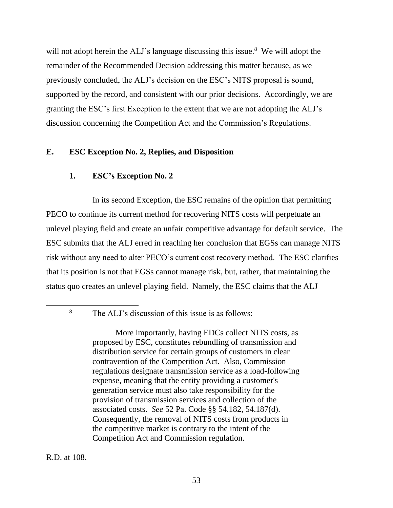will not adopt herein the ALJ's language discussing this issue.<sup>8</sup> We will adopt the remainder of the Recommended Decision addressing this matter because, as we previously concluded, the ALJ's decision on the ESC's NITS proposal is sound, supported by the record, and consistent with our prior decisions. Accordingly, we are granting the ESC's first Exception to the extent that we are not adopting the ALJ's discussion concerning the Competition Act and the Commission's Regulations.

### <span id="page-55-1"></span><span id="page-55-0"></span>**E. ESC Exception No. 2, Replies, and Disposition**

### **1. ESC's Exception No. 2**

In its second Exception, the ESC remains of the opinion that permitting PECO to continue its current method for recovering NITS costs will perpetuate an unlevel playing field and create an unfair competitive advantage for default service. The ESC submits that the ALJ erred in reaching her conclusion that EGSs can manage NITS risk without any need to alter PECO's current cost recovery method. The ESC clarifies that its position is not that EGSs cannot manage risk, but, rather, that maintaining the status quo creates an unlevel playing field. Namely, the ESC claims that the ALJ

<sup>8</sup> The ALJ's discussion of this issue is as follows:

More importantly, having EDCs collect NITS costs, as proposed by ESC, constitutes rebundling of transmission and distribution service for certain groups of customers in clear contravention of the Competition Act. Also, Commission regulations designate transmission service as a load-following expense, meaning that the entity providing a customer's generation service must also take responsibility for the provision of transmission services and collection of the associated costs. *See* 52 Pa. Code §§ 54.182, 54.187(d). Consequently, the removal of NITS costs from products in the competitive market is contrary to the intent of the Competition Act and Commission regulation.

R.D. at 108.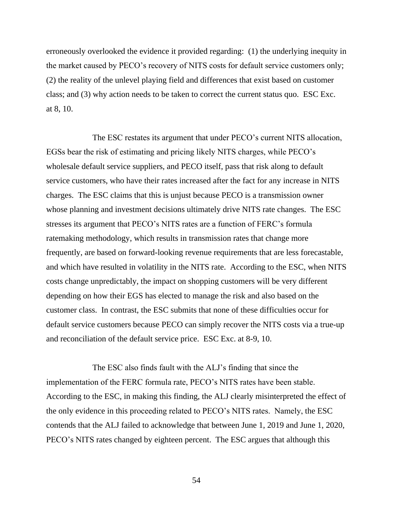erroneously overlooked the evidence it provided regarding: (1) the underlying inequity in the market caused by PECO's recovery of NITS costs for default service customers only; (2) the reality of the unlevel playing field and differences that exist based on customer class; and (3) why action needs to be taken to correct the current status quo. ESC Exc. at 8, 10.

The ESC restates its argument that under PECO's current NITS allocation, EGSs bear the risk of estimating and pricing likely NITS charges, while PECO's wholesale default service suppliers, and PECO itself, pass that risk along to default service customers, who have their rates increased after the fact for any increase in NITS charges. The ESC claims that this is unjust because PECO is a transmission owner whose planning and investment decisions ultimately drive NITS rate changes. The ESC stresses its argument that PECO's NITS rates are a function of FERC's formula ratemaking methodology, which results in transmission rates that change more frequently, are based on forward-looking revenue requirements that are less forecastable, and which have resulted in volatility in the NITS rate. According to the ESC, when NITS costs change unpredictably, the impact on shopping customers will be very different depending on how their EGS has elected to manage the risk and also based on the customer class. In contrast, the ESC submits that none of these difficulties occur for default service customers because PECO can simply recover the NITS costs via a true-up and reconciliation of the default service price. ESC Exc. at 8-9, 10.

The ESC also finds fault with the ALJ's finding that since the implementation of the FERC formula rate, PECO's NITS rates have been stable. According to the ESC, in making this finding, the ALJ clearly misinterpreted the effect of the only evidence in this proceeding related to PECO's NITS rates. Namely, the ESC contends that the ALJ failed to acknowledge that between June 1, 2019 and June 1, 2020, PECO's NITS rates changed by eighteen percent. The ESC argues that although this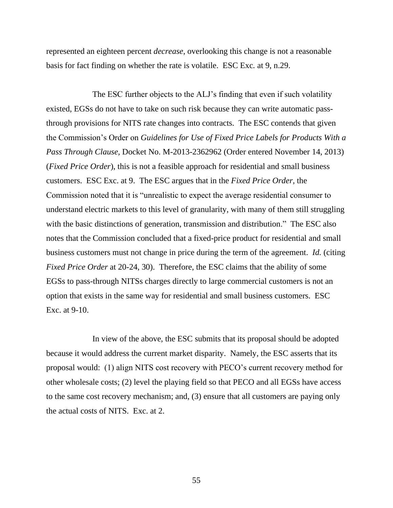represented an eighteen percent *decrease*, overlooking this change is not a reasonable basis for fact finding on whether the rate is volatile. ESC Exc*.* at 9, n.29.

The ESC further objects to the ALJ's finding that even if such volatility existed, EGSs do not have to take on such risk because they can write automatic passthrough provisions for NITS rate changes into contracts. The ESC contends that given the Commission's Order on *Guidelines for Use of Fixed Price Labels for Products With a Pass Through Clause,* Docket No. M-2013-2362962 (Order entered November 14, 2013) (*Fixed Price Order*), this is not a feasible approach for residential and small business customers. ESC Exc. at 9. The ESC argues that in the *Fixed Price Order,* the Commission noted that it is "unrealistic to expect the average residential consumer to understand electric markets to this level of granularity, with many of them still struggling with the basic distinctions of generation, transmission and distribution." The ESC also notes that the Commission concluded that a fixed-price product for residential and small business customers must not change in price during the term of the agreement. *Id.* (citing *Fixed Price Order* at 20-24, 30). Therefore, the ESC claims that the ability of some EGSs to pass-through NITSs charges directly to large commercial customers is not an option that exists in the same way for residential and small business customers. ESC Exc. at 9-10.

In view of the above, the ESC submits that its proposal should be adopted because it would address the current market disparity. Namely, the ESC asserts that its proposal would: (1) align NITS cost recovery with PECO's current recovery method for other wholesale costs; (2) level the playing field so that PECO and all EGSs have access to the same cost recovery mechanism; and, (3) ensure that all customers are paying only the actual costs of NITS. Exc. at 2.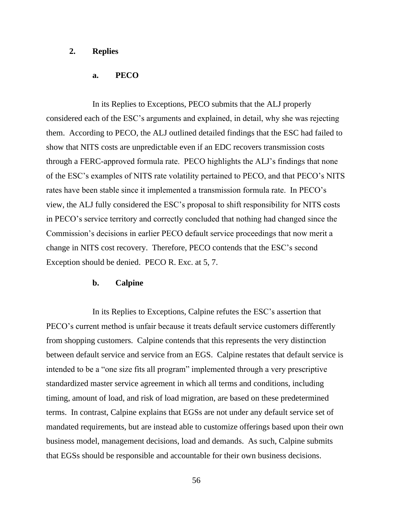#### <span id="page-58-0"></span>**2. Replies**

### **a. PECO**

In its Replies to Exceptions, PECO submits that the ALJ properly considered each of the ESC's arguments and explained, in detail, why she was rejecting them. According to PECO, the ALJ outlined detailed findings that the ESC had failed to show that NITS costs are unpredictable even if an EDC recovers transmission costs through a FERC-approved formula rate. PECO highlights the ALJ's findings that none of the ESC's examples of NITS rate volatility pertained to PECO, and that PECO's NITS rates have been stable since it implemented a transmission formula rate. In PECO's view, the ALJ fully considered the ESC's proposal to shift responsibility for NITS costs in PECO's service territory and correctly concluded that nothing had changed since the Commission's decisions in earlier PECO default service proceedings that now merit a change in NITS cost recovery. Therefore, PECO contends that the ESC's second Exception should be denied. PECO R. Exc. at 5, 7.

#### **b. Calpine**

In its Replies to Exceptions, Calpine refutes the ESC's assertion that PECO's current method is unfair because it treats default service customers differently from shopping customers. Calpine contends that this represents the very distinction between default service and service from an EGS. Calpine restates that default service is intended to be a "one size fits all program" implemented through a very prescriptive standardized master service agreement in which all terms and conditions, including timing, amount of load, and risk of load migration, are based on these predetermined terms. In contrast, Calpine explains that EGSs are not under any default service set of mandated requirements, but are instead able to customize offerings based upon their own business model, management decisions, load and demands. As such, Calpine submits that EGSs should be responsible and accountable for their own business decisions.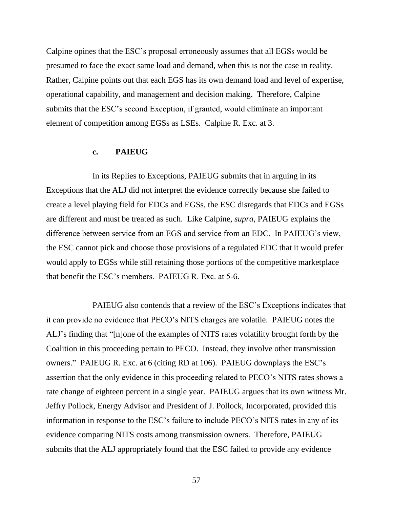Calpine opines that the ESC's proposal erroneously assumes that all EGSs would be presumed to face the exact same load and demand, when this is not the case in reality. Rather, Calpine points out that each EGS has its own demand load and level of expertise, operational capability, and management and decision making. Therefore, Calpine submits that the ESC's second Exception, if granted, would eliminate an important element of competition among EGSs as LSEs. Calpine R. Exc. at 3.

#### **c. PAIEUG**

In its Replies to Exceptions, PAIEUG submits that in arguing in its Exceptions that the ALJ did not interpret the evidence correctly because she failed to create a level playing field for EDCs and EGSs, the ESC disregards that EDCs and EGSs are different and must be treated as such. Like Calpine, *supra,* PAIEUG explains the difference between service from an EGS and service from an EDC. In PAIEUG's view, the ESC cannot pick and choose those provisions of a regulated EDC that it would prefer would apply to EGSs while still retaining those portions of the competitive marketplace that benefit the ESC's members. PAIEUG R. Exc. at 5-6.

PAIEUG also contends that a review of the ESC's Exceptions indicates that it can provide no evidence that PECO's NITS charges are volatile. PAIEUG notes the ALJ's finding that "[n]one of the examples of NITS rates volatility brought forth by the Coalition in this proceeding pertain to PECO. Instead, they involve other transmission owners." PAIEUG R. Exc. at 6 (citing RD at 106). PAIEUG downplays the ESC's assertion that the only evidence in this proceeding related to PECO's NITS rates shows a rate change of eighteen percent in a single year. PAIEUG argues that its own witness Mr. Jeffry Pollock, Energy Advisor and President of J. Pollock, Incorporated, provided this information in response to the ESC's failure to include PECO's NITS rates in any of its evidence comparing NITS costs among transmission owners. Therefore, PAIEUG submits that the ALJ appropriately found that the ESC failed to provide any evidence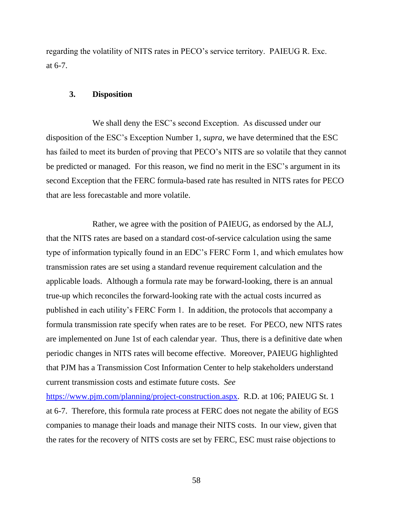regarding the volatility of NITS rates in PECO's service territory. PAIEUG R. Exc. at 6-7.

#### <span id="page-60-0"></span>**3. Disposition**

We shall deny the ESC's second Exception. As discussed under our disposition of the ESC's Exception Number 1, *supra,* we have determined that the ESC has failed to meet its burden of proving that PECO's NITS are so volatile that they cannot be predicted or managed. For this reason, we find no merit in the ESC's argument in its second Exception that the FERC formula-based rate has resulted in NITS rates for PECO that are less forecastable and more volatile.

Rather, we agree with the position of PAIEUG, as endorsed by the ALJ, that the NITS rates are based on a standard cost-of-service calculation using the same type of information typically found in an EDC's FERC Form 1, and which emulates how transmission rates are set using a standard revenue requirement calculation and the applicable loads. Although a formula rate may be forward-looking, there is an annual true-up which reconciles the forward-looking rate with the actual costs incurred as published in each utility's FERC Form 1. In addition, the protocols that accompany a formula transmission rate specify when rates are to be reset. For PECO, new NITS rates are implemented on June 1st of each calendar year. Thus, there is a definitive date when periodic changes in NITS rates will become effective. Moreover, PAIEUG highlighted that PJM has a Transmission Cost Information Center to help stakeholders understand current transmission costs and estimate future costs. *See* 

[https://www.pjm.com/planning/project-construction.aspx.](https://www.pjm.com/planning/project-construction.aspx) R.D. at 106; PAIEUG St. 1 at 6-7. Therefore, this formula rate process at FERC does not negate the ability of EGS companies to manage their loads and manage their NITS costs. In our view, given that the rates for the recovery of NITS costs are set by FERC, ESC must raise objections to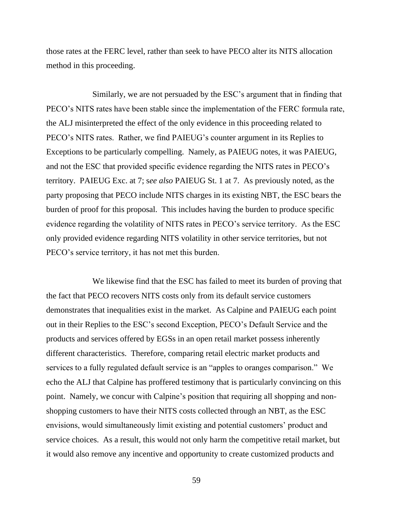those rates at the FERC level, rather than seek to have PECO alter its NITS allocation method in this proceeding.

Similarly, we are not persuaded by the ESC's argument that in finding that PECO's NITS rates have been stable since the implementation of the FERC formula rate, the ALJ misinterpreted the effect of the only evidence in this proceeding related to PECO's NITS rates. Rather, we find PAIEUG's counter argument in its Replies to Exceptions to be particularly compelling. Namely, as PAIEUG notes, it was PAIEUG, and not the ESC that provided specific evidence regarding the NITS rates in PECO's territory. PAIEUG Exc. at 7; s*ee also* PAIEUG St. 1 at 7. As previously noted, as the party proposing that PECO include NITS charges in its existing NBT, the ESC bears the burden of proof for this proposal. This includes having the burden to produce specific evidence regarding the volatility of NITS rates in PECO's service territory. As the ESC only provided evidence regarding NITS volatility in other service territories, but not PECO's service territory, it has not met this burden.

We likewise find that the ESC has failed to meet its burden of proving that the fact that PECO recovers NITS costs only from its default service customers demonstrates that inequalities exist in the market. As Calpine and PAIEUG each point out in their Replies to the ESC's second Exception, PECO's Default Service and the products and services offered by EGSs in an open retail market possess inherently different characteristics. Therefore, comparing retail electric market products and services to a fully regulated default service is an "apples to oranges comparison." We echo the ALJ that Calpine has proffered testimony that is particularly convincing on this point. Namely, we concur with Calpine's position that requiring all shopping and nonshopping customers to have their NITS costs collected through an NBT, as the ESC envisions, would simultaneously limit existing and potential customers' product and service choices. As a result, this would not only harm the competitive retail market, but it would also remove any incentive and opportunity to create customized products and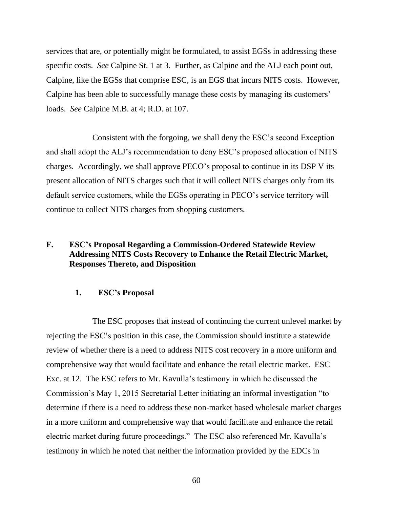services that are, or potentially might be formulated, to assist EGSs in addressing these specific costs. *See* Calpine St. 1 at 3. Further, as Calpine and the ALJ each point out, Calpine, like the EGSs that comprise ESC, is an EGS that incurs NITS costs. However, Calpine has been able to successfully manage these costs by managing its customers' loads. *See* Calpine M.B. at 4; R.D. at 107.

Consistent with the forgoing, we shall deny the ESC's second Exception and shall adopt the ALJ's recommendation to deny ESC's proposed allocation of NITS charges. Accordingly, we shall approve PECO's proposal to continue in its DSP V its present allocation of NITS charges such that it will collect NITS charges only from its default service customers, while the EGSs operating in PECO's service territory will continue to collect NITS charges from shopping customers.

## <span id="page-62-0"></span>**F. ESC's Proposal Regarding a Commission-Ordered Statewide Review Addressing NITS Costs Recovery to Enhance the Retail Electric Market, Responses Thereto, and Disposition**

#### **1. ESC's Proposal**

<span id="page-62-1"></span>The ESC proposes that instead of continuing the current unlevel market by rejecting the ESC's position in this case, the Commission should institute a statewide review of whether there is a need to address NITS cost recovery in a more uniform and comprehensive way that would facilitate and enhance the retail electric market. ESC Exc. at 12. The ESC refers to Mr. Kavulla's testimony in which he discussed the Commission's May 1, 2015 Secretarial Letter initiating an informal investigation "to determine if there is a need to address these non-market based wholesale market charges in a more uniform and comprehensive way that would facilitate and enhance the retail electric market during future proceedings." The ESC also referenced Mr. Kavulla's testimony in which he noted that neither the information provided by the EDCs in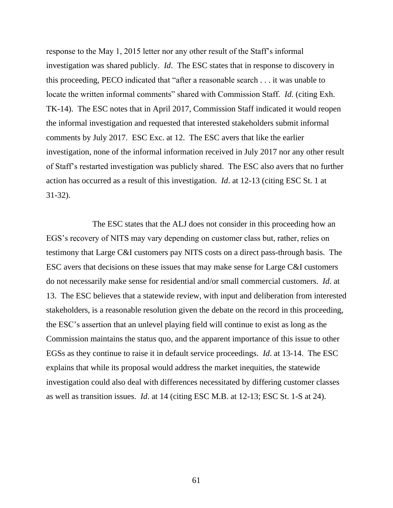response to the May 1, 2015 letter nor any other result of the Staff's informal investigation was shared publicly. *Id*. The ESC states that in response to discovery in this proceeding, PECO indicated that "after a reasonable search . . . it was unable to locate the written informal comments" shared with Commission Staff. *Id*. (citing Exh. TK-14). The ESC notes that in April 2017, Commission Staff indicated it would reopen the informal investigation and requested that interested stakeholders submit informal comments by July 2017. ESC Exc. at 12. The ESC avers that like the earlier investigation, none of the informal information received in July 2017 nor any other result of Staff's restarted investigation was publicly shared. The ESC also avers that no further action has occurred as a result of this investigation. *Id*. at 12-13 (citing ESC St. 1 at 31-32).

The ESC states that the ALJ does not consider in this proceeding how an EGS's recovery of NITS may vary depending on customer class but, rather, relies on testimony that Large C&I customers pay NITS costs on a direct pass-through basis. The ESC avers that decisions on these issues that may make sense for Large C&I customers do not necessarily make sense for residential and/or small commercial customers. *Id*. at 13. The ESC believes that a statewide review, with input and deliberation from interested stakeholders, is a reasonable resolution given the debate on the record in this proceeding, the ESC's assertion that an unlevel playing field will continue to exist as long as the Commission maintains the status quo, and the apparent importance of this issue to other EGSs as they continue to raise it in default service proceedings. *Id*. at 13-14. The ESC explains that while its proposal would address the market inequities, the statewide investigation could also deal with differences necessitated by differing customer classes as well as transition issues. *Id*. at 14 (citing ESC M.B. at 12-13; ESC St. 1-S at 24).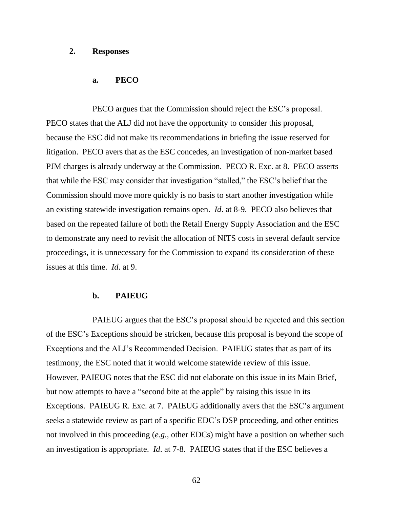### <span id="page-64-0"></span>**2. Responses**

#### **a. PECO**

PECO argues that the Commission should reject the ESC's proposal. PECO states that the ALJ did not have the opportunity to consider this proposal, because the ESC did not make its recommendations in briefing the issue reserved for litigation. PECO avers that as the ESC concedes, an investigation of non-market based PJM charges is already underway at the Commission. PECO R. Exc. at 8. PECO asserts that while the ESC may consider that investigation "stalled," the ESC's belief that the Commission should move more quickly is no basis to start another investigation while an existing statewide investigation remains open. *Id*. at 8-9. PECO also believes that based on the repeated failure of both the Retail Energy Supply Association and the ESC to demonstrate any need to revisit the allocation of NITS costs in several default service proceedings, it is unnecessary for the Commission to expand its consideration of these issues at this time. *Id*. at 9.

#### **b. PAIEUG**

PAIEUG argues that the ESC's proposal should be rejected and this section of the ESC's Exceptions should be stricken, because this proposal is beyond the scope of Exceptions and the ALJ's Recommended Decision. PAIEUG states that as part of its testimony, the ESC noted that it would welcome statewide review of this issue. However, PAIEUG notes that the ESC did not elaborate on this issue in its Main Brief, but now attempts to have a "second bite at the apple" by raising this issue in its Exceptions. PAIEUG R. Exc. at 7. PAIEUG additionally avers that the ESC's argument seeks a statewide review as part of a specific EDC's DSP proceeding, and other entities not involved in this proceeding (*e.g.*, other EDCs) might have a position on whether such an investigation is appropriate. *Id*. at 7-8. PAIEUG states that if the ESC believes a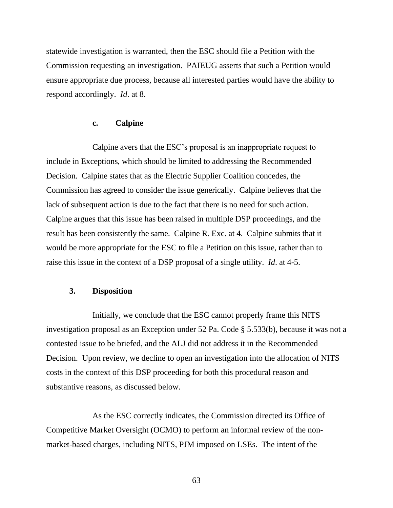statewide investigation is warranted, then the ESC should file a Petition with the Commission requesting an investigation. PAIEUG asserts that such a Petition would ensure appropriate due process, because all interested parties would have the ability to respond accordingly. *Id*. at 8.

### **c. Calpine**

Calpine avers that the ESC's proposal is an inappropriate request to include in Exceptions, which should be limited to addressing the Recommended Decision. Calpine states that as the Electric Supplier Coalition concedes, the Commission has agreed to consider the issue generically. Calpine believes that the lack of subsequent action is due to the fact that there is no need for such action. Calpine argues that this issue has been raised in multiple DSP proceedings, and the result has been consistently the same. Calpine R. Exc. at 4. Calpine submits that it would be more appropriate for the ESC to file a Petition on this issue, rather than to raise this issue in the context of a DSP proposal of a single utility. *Id*. at 4-5.

### <span id="page-65-0"></span>**3. Disposition**

Initially, we conclude that the ESC cannot properly frame this NITS investigation proposal as an Exception under 52 Pa. Code § 5.533(b), because it was not a contested issue to be briefed, and the ALJ did not address it in the Recommended Decision. Upon review, we decline to open an investigation into the allocation of NITS costs in the context of this DSP proceeding for both this procedural reason and substantive reasons, as discussed below.

As the ESC correctly indicates, the Commission directed its Office of Competitive Market Oversight (OCMO) to perform an informal review of the nonmarket-based charges, including NITS, PJM imposed on LSEs. The intent of the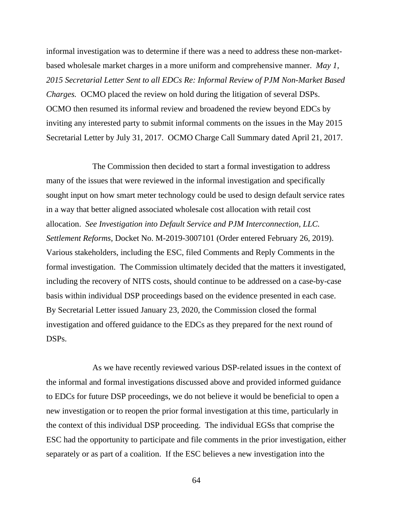informal investigation was to determine if there was a need to address these non-marketbased wholesale market charges in a more uniform and comprehensive manner. *May 1, 2015 Secretarial Letter Sent to all EDCs Re: Informal Review of PJM Non-Market Based Charges.* OCMO placed the review on hold during the litigation of several DSPs. OCMO then resumed its informal review and broadened the review beyond EDCs by inviting any interested party to submit informal comments on the issues in the May 2015 Secretarial Letter by July 31, 2017. OCMO Charge Call Summary dated April 21, 2017.

The Commission then decided to start a formal investigation to address many of the issues that were reviewed in the informal investigation and specifically sought input on how smart meter technology could be used to design default service rates in a way that better aligned associated wholesale cost allocation with retail cost allocation. *See Investigation into Default Service and PJM Interconnection, LLC. Settlement Reforms*, Docket No. M-2019-3007101 (Order entered February 26, 2019). Various stakeholders, including the ESC, filed Comments and Reply Comments in the formal investigation. The Commission ultimately decided that the matters it investigated, including the recovery of NITS costs, should continue to be addressed on a case-by-case basis within individual DSP proceedings based on the evidence presented in each case. By Secretarial Letter issued January 23, 2020, the Commission closed the formal investigation and offered guidance to the EDCs as they prepared for the next round of DSPs.

As we have recently reviewed various DSP-related issues in the context of the informal and formal investigations discussed above and provided informed guidance to EDCs for future DSP proceedings, we do not believe it would be beneficial to open a new investigation or to reopen the prior formal investigation at this time, particularly in the context of this individual DSP proceeding. The individual EGSs that comprise the ESC had the opportunity to participate and file comments in the prior investigation, either separately or as part of a coalition. If the ESC believes a new investigation into the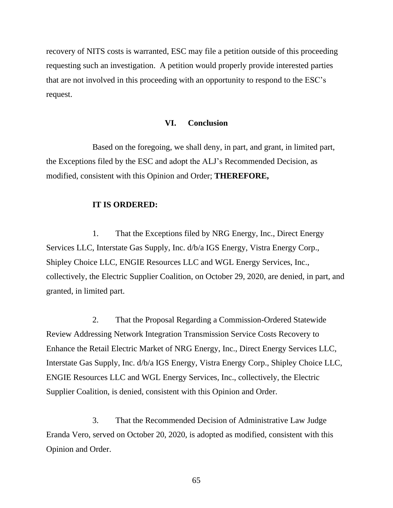recovery of NITS costs is warranted, ESC may file a petition outside of this proceeding requesting such an investigation. A petition would properly provide interested parties that are not involved in this proceeding with an opportunity to respond to the ESC's request.

#### **VI. Conclusion**

<span id="page-67-0"></span>Based on the foregoing, we shall deny, in part, and grant, in limited part, the Exceptions filed by the ESC and adopt the ALJ's Recommended Decision, as modified, consistent with this Opinion and Order; **THEREFORE,**

#### **IT IS ORDERED:**

1. That the Exceptions filed by NRG Energy, Inc., Direct Energy Services LLC, Interstate Gas Supply, Inc. d/b/a IGS Energy, Vistra Energy Corp., Shipley Choice LLC, ENGIE Resources LLC and WGL Energy Services, Inc., collectively, the Electric Supplier Coalition, on October 29, 2020, are denied, in part, and granted, in limited part.

2. That the Proposal Regarding a Commission-Ordered Statewide Review Addressing Network Integration Transmission Service Costs Recovery to Enhance the Retail Electric Market of NRG Energy, Inc., Direct Energy Services LLC, Interstate Gas Supply, Inc. d/b/a IGS Energy, Vistra Energy Corp., Shipley Choice LLC, ENGIE Resources LLC and WGL Energy Services, Inc., collectively, the Electric Supplier Coalition, is denied, consistent with this Opinion and Order.

3. That the Recommended Decision of Administrative Law Judge Eranda Vero, served on October 20, 2020, is adopted as modified, consistent with this Opinion and Order.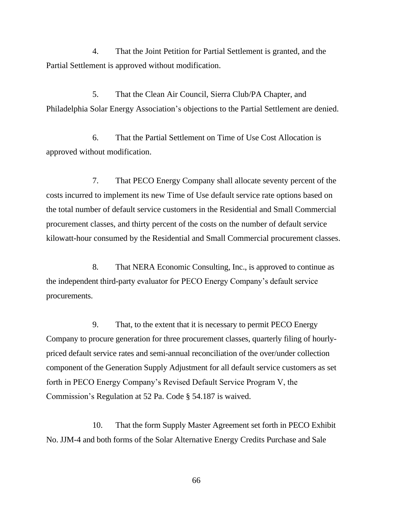4. That the Joint Petition for Partial Settlement is granted, and the Partial Settlement is approved without modification.

5. That the Clean Air Council, Sierra Club/PA Chapter, and Philadelphia Solar Energy Association's objections to the Partial Settlement are denied.

6. That the Partial Settlement on Time of Use Cost Allocation is approved without modification.

7. That PECO Energy Company shall allocate seventy percent of the costs incurred to implement its new Time of Use default service rate options based on the total number of default service customers in the Residential and Small Commercial procurement classes, and thirty percent of the costs on the number of default service kilowatt-hour consumed by the Residential and Small Commercial procurement classes.

8. That NERA Economic Consulting, Inc., is approved to continue as the independent third-party evaluator for PECO Energy Company's default service procurements.

9. That, to the extent that it is necessary to permit PECO Energy Company to procure generation for three procurement classes, quarterly filing of hourlypriced default service rates and semi-annual reconciliation of the over/under collection component of the Generation Supply Adjustment for all default service customers as set forth in PECO Energy Company's Revised Default Service Program V, the Commission's Regulation at 52 Pa. Code § 54.187 is waived.

10. That the form Supply Master Agreement set forth in PECO Exhibit No. JJM-4 and both forms of the Solar Alternative Energy Credits Purchase and Sale